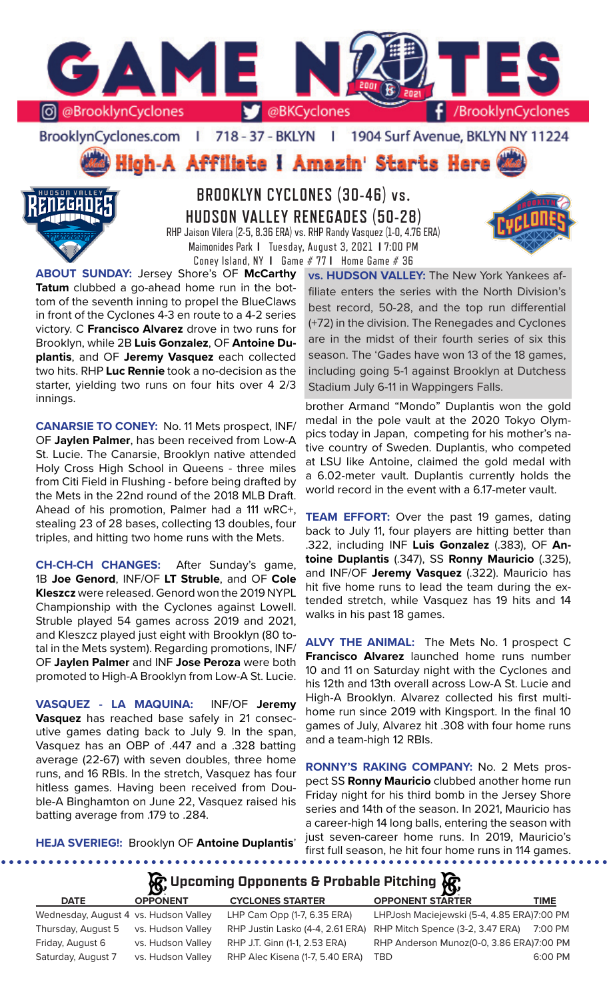

BrooklynCyclones.com | 718 - 37 - BKLYN - 11 1904 Surf Avenue, BKLYN NY 11224

High-A Affiliate I Amazin' Starts Here



**BROOKLYN CYCLONES (30-46) vs. HUDSON VALLEY RENEGADES (50-28)** RHP Jaison Vilera (2-5, 8.36 ERA) vs. RHP Randy Vasquez (1-0, 4.76 ERA) Maimonides Park **I** Tuesday, August 3, 2021 **I** 7:00 PM Coney Island, NY **I** Game # 77 **I** Home Game # 36

**ABOUT SUNDAY:** Jersey Shore's OF **McCarthy Tatum** clubbed a go-ahead home run in the bottom of the seventh inning to propel the BlueClaws in front of the Cyclones 4-3 en route to a 4-2 series victory. C **Francisco Alvarez** drove in two runs for Brooklyn, while 2B **Luis Gonzalez**, OF **Antoine Duplantis**, and OF **Jeremy Vasquez** each collected two hits. RHP **Luc Rennie** took a no-decision as the starter, yielding two runs on four hits over 4 2/3 innings.

**CANARSIE TO CONEY:** No. 11 Mets prospect, INF/ OF **Jaylen Palmer**, has been received from Low-A St. Lucie. The Canarsie, Brooklyn native attended Holy Cross High School in Queens - three miles from Citi Field in Flushing - before being drafted by the Mets in the 22nd round of the 2018 MLB Draft. Ahead of his promotion, Palmer had a 111 wRC+, stealing 23 of 28 bases, collecting 13 doubles, four triples, and hitting two home runs with the Mets.

**CH-CH-CH CHANGES:** After Sunday's game, 1B **Joe Genord**, INF/OF **LT Struble**, and OF **Cole Kleszcz** were released. Genord won the 2019 NYPL Championship with the Cyclones against Lowell. Struble played 54 games across 2019 and 2021, and Kleszcz played just eight with Brooklyn (80 total in the Mets system). Regarding promotions, INF/ OF **Jaylen Palmer** and INF **Jose Peroza** were both promoted to High-A Brooklyn from Low-A St. Lucie.

**VASQUEZ - LA MAQUINA:** INF/OF **Jeremy Vasquez** has reached base safely in 21 consecutive games dating back to July 9. In the span, Vasquez has an OBP of .447 and a .328 batting average (22-67) with seven doubles, three home runs, and 16 RBIs. In the stretch, Vasquez has four hitless games. Having been received from Double-A Binghamton on June 22, Vasquez raised his batting average from .179 to .284.

**vs. HUDSON VALLEY:** The New York Yankees affiliate enters the series with the North Division's best record, 50-28, and the top run differential (+72) in the division. The Renegades and Cyclones are in the midst of their fourth series of six this season. The 'Gades have won 13 of the 18 games, including going 5-1 against Brooklyn at Dutchess Stadium July 6-11 in Wappingers Falls.

brother Armand "Mondo" Duplantis won the gold medal in the pole vault at the 2020 Tokyo Olympics today in Japan, competing for his mother's native country of Sweden. Duplantis, who competed at LSU like Antoine, claimed the gold medal with a 6.02-meter vault. Duplantis currently holds the world record in the event with a 6.17-meter vault.

**TEAM EFFORT:** Over the past 19 games, dating back to July 11, four players are hitting better than .322, including INF **Luis Gonzalez** (.383), OF **Antoine Duplantis** (.347), SS **Ronny Mauricio** (.325), and INF/OF **Jeremy Vasquez** (.322). Mauricio has hit five home runs to lead the team during the extended stretch, while Vasquez has 19 hits and 14 walks in his past 18 games.

**ALVY THE ANIMAL:** The Mets No. 1 prospect C **Francisco Alvarez** launched home runs number 10 and 11 on Saturday night with the Cyclones and his 12th and 13th overall across Low-A St. Lucie and High-A Brooklyn. Alvarez collected his first multihome run since 2019 with Kingsport. In the final 10 games of July, Alvarez hit .308 with four home runs and a team-high 12 RBIs.

**RONNY'S RAKING COMPANY:** No. 2 Mets prospect SS **Ronny Mauricio** clubbed another home run Friday night for his third bomb in the Jersey Shore series and 14th of the season. In 2021, Mauricio has a career-high 14 long balls, entering the season with just seven-career home runs. In 2019, Mauricio's first full season, he hit four home runs in 114 games.

**HEJA SVERIEG!:** Brooklyn OF **Antoine Duplantis**'

**R** Upcoming Opponents & Probable Pitching **R** 

| <b>DATE</b>                           | <b>OPPONENT</b>   | <b>CYCLONES STARTER</b>          | <b>OPPONENT STARTER</b>                    | TIME    |
|---------------------------------------|-------------------|----------------------------------|--------------------------------------------|---------|
| Wednesday, August 4 vs. Hudson Valley |                   | LHP Cam Opp (1-7, 6.35 ERA)      | LHPJosh Maciejewski (5-4, 4.85 ERA)7:00 PM |         |
| Thursday, August 5                    | vs. Hudson Valley | RHP Justin Lasko (4-4, 2.61 ERA) | RHP Mitch Spence (3-2, 3.47 ERA)           | 7:00 PM |
| Friday, August 6                      | vs. Hudson Valley | RHP J.T. Ginn (1-1, 2.53 ERA)    | RHP Anderson Munoz(0-0, 3.86 ERA)7:00 PM   |         |
| Saturday, August 7                    | vs. Hudson Valley | RHP Alec Kisena (1-7, 5.40 ERA)  | <b>TRD</b>                                 | 6:00 PM |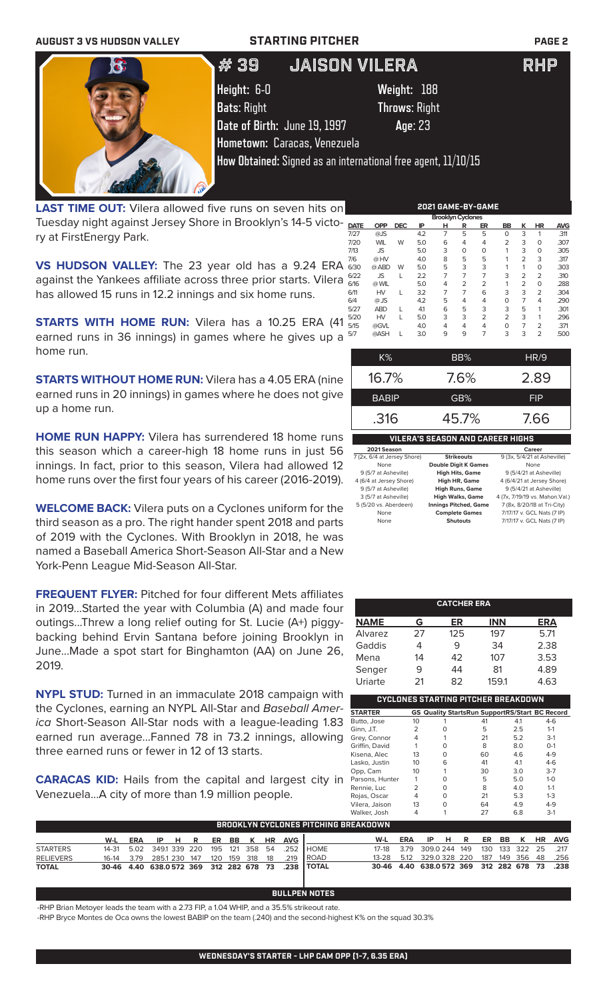| <b>AUGUST 3 VS HUDSON VALLEY</b> | <b>STARTING PITCHER</b>                                       |                      | <b>PAGE 2</b> |
|----------------------------------|---------------------------------------------------------------|----------------------|---------------|
| $\mathbf{G}$                     | JAISON VILERA<br># 39                                         |                      | <b>RHP</b>    |
|                                  | Height: 6-0                                                   | Weight: 188          |               |
|                                  | <b>Bats: Right</b>                                            | <b>Throws: Right</b> |               |
|                                  | Date of Birth: June 19, 1997                                  | Age: 23              |               |
|                                  | Hometown: Caracas, Venezuela                                  |                      |               |
|                                  | How Obtained: Signed as an international free agent, 11/10/15 |                      |               |
|                                  |                                                               |                      |               |

LAST TIME OUT: Vilera allowed five runs on seven hits on Tuesday night against Jersey Shore in Brooklyn's 14-5 victory at FirstEnergy Park.

**VS HUDSON VALLEY:** The 23 year old has a 9.24 ERA against the Yankees affiliate across three prior starts. Vilera has allowed 15 runs in 12.2 innings and six home runs.

**STARTS WITH HOME RUN:** Vilera has a 10.25 ERA (41 earned runs in 36 innings) in games where he gives up a home run.

**STARTS WITHOUT HOME RUN:** Vilera has a 4.05 ERA (nine earned runs in 20 innings) in games where he does not give up a home run.

**HOME RUN HAPPY:** Vilera has surrendered 18 home runs this season which a career-high 18 home runs in just 56 innings. In fact, prior to this season, Vilera had allowed 12 home runs over the first four years of his career (2016-2019).

**WELCOME BACK:** Vilera puts on a Cyclones uniform for the third season as a pro. The right hander spent 2018 and parts of 2019 with the Cyclones. With Brooklyn in 2018, he was named a Baseball America Short-Season All-Star and a New York-Penn League Mid-Season All-Star.

**FREQUENT FLYER:** Pitched for four different Mets affiliates in 2019...Started the year with Columbia (A) and made four outings...Threw a long relief outing for St. Lucie (A+) piggybacking behind Ervin Santana before joining Brooklyn in June...Made a spot start for Binghamton (AA) on June 26, 2019.

**NYPL STUD:** Turned in an immaculate 2018 campaign with the Cyclones, earning an NYPL All-Star and *Baseball America* Short-Season All-Star nods with a league-leading 1.83 earned run average...Fanned 78 in 73.2 innings, allowing three earned runs or fewer in 12 of 13 starts.

**CARACAS KID:** Hails from the capital and largest city in Venezuela...A city of more than 1.9 million people.

| <b>Brooklyn Cyclones</b> |            |            |     |   |                |                |                |                |                |            |  |
|--------------------------|------------|------------|-----|---|----------------|----------------|----------------|----------------|----------------|------------|--|
| <b>DATE</b>              | <b>OPP</b> | <b>DEC</b> | IP  | н | R              | ER             | BB             | κ              | HR             | <b>AVG</b> |  |
| 7/27                     | @JS        |            | 4.2 | 7 | 5              | 5              | $\Omega$       | 3              | 1              | .311       |  |
| 7/20                     | <b>WIL</b> | W          | 5.0 | 6 | 4              | 4              | $\overline{2}$ | 3              | $\Omega$       | .307       |  |
| 7/13                     | <b>JS</b>  |            | 5.0 | 3 | $\Omega$       | 0              | 1              | 3              | 0              | .305       |  |
| 7/6                      | @ HV       |            | 4.0 | 8 | 5              | 5              | 1              | $\overline{2}$ | 3              | .317       |  |
| 6/30                     | @ ABD      | W          | 5.0 | 5 | 3              | 3              | 1              | 1              | 0              | .303       |  |
| 6/22                     | <b>JS</b>  | L          | 2.2 | 7 | 7              | 7              | 3              | $\overline{2}$ | $\overline{2}$ | .310       |  |
| 6/16                     | @ WIL      |            | 5.0 | 4 | $\overline{2}$ | $\overline{2}$ | 1              | $\overline{2}$ | 0              | .288       |  |
| 6/11                     | HV         | L          | 3.2 | 7 | 7              | 6              | 3              | 3              | $\overline{2}$ | .304       |  |
| 6/4                      | $@$ JS     |            | 4.2 | 5 | 4              | 4              | $\Omega$       | 7              | 4              | .290       |  |
| 5/27                     | <b>ABD</b> | L          | 4.1 | 6 | 5              | 3              | 3              | 5              | 1              | .301       |  |
| 5/20                     | HV         | L          | 5.0 | 3 | 3              | $\overline{2}$ | $\overline{2}$ | 3              | 1              | .296       |  |
| 5/15                     | @GVL       |            | 4.0 | 4 | 4              | 4              | $\Omega$       | 7              | $\overline{2}$ | .371       |  |
| 5/7                      | @ASH       | L          | 3.0 | 9 | 9              | 7              | 3              | 3              | $\overline{2}$ | .500       |  |

**2021 GAME-BY-GAME**

| K%                                      | BB%   | HR/9       |  |  |  |  |  |
|-----------------------------------------|-------|------------|--|--|--|--|--|
| 16.7%                                   | 7.6%  | 2.89       |  |  |  |  |  |
| <b>BABIP</b>                            | GB%   | <b>FIP</b> |  |  |  |  |  |
| .316                                    | 45.7% | 7.66       |  |  |  |  |  |
| <b>VILERA'S SEASON AND CAREER HIGHS</b> |       |            |  |  |  |  |  |
| 2021 Season                             |       | Career     |  |  |  |  |  |

| 7 (2x, 6/4 at Jersey Shore) | <b>Strikeouts</b>            | 9 (3x, 5/4/21 at Asheville)     |
|-----------------------------|------------------------------|---------------------------------|
| None                        | <b>Double Digit K Games</b>  | None                            |
| 9 (5/7 at Asheville)        | <b>High Hits, Game</b>       | 9 (5/4/21 at Asheville)         |
| 4 (6/4 at Jersey Shore)     | <b>High HR, Game</b>         | 4 (6/4/21 at Jersey Shore)      |
| 9 (5/7 at Asheville)        | <b>High Runs, Game</b>       | 9 (5/4/21 at Asheville)         |
| 3 (5/7 at Asheville)        | <b>High Walks, Game</b>      | 4 (7x, 7/19/19 vs. Mahon. Val.) |
| 5 (5/20 vs. Aberdeen)       | <b>Innings Pitched, Game</b> | 7 (8x, 8/20/18 at Tri-City)     |
| None                        | <b>Complete Games</b>        | 7/17/17 v. GCL Nats (7 IP)      |
| None                        | <b>Shutouts</b>              | 7/17/17 v. GCL Nats (7 IP)      |
|                             |                              |                                 |

|             |    | <b>CATCHER ERA</b> |            |      |
|-------------|----|--------------------|------------|------|
| <b>NAME</b> | G  | ER                 | <b>INN</b> | ERA  |
| Alvarez     | 27 | 125                | 197        | 5.71 |
| Gaddis      |    | 9                  | 34         | 2.38 |
| Mena        | 14 | 42                 | 107        | 3.53 |
| Senger      | 9  | 44                 | 81         | 4.89 |
| Uriarte     | 21 | 82                 | 159.1      | 4.63 |

|                 |    |   | CYCLONES STARTING PITCHER BREAKDOWN                   |     |         |
|-----------------|----|---|-------------------------------------------------------|-----|---------|
| <b>STARTER</b>  |    |   | <b>GS Quality StartsRun SupportRS/Start BC Record</b> |     |         |
| Butto, Jose     | 10 |   | 41                                                    | 4.1 | $4-6$   |
| Ginn, J.T.      | 2  |   | 5                                                     | 2.5 | $1 - 1$ |
| Grey, Connor    | 4  |   | 21                                                    | 5.2 | $3-1$   |
| Griffin, David  |    | ∩ | 8                                                     | 8.0 | $O-1$   |
| Kisena, Alec    | 13 | ∩ | 60                                                    | 4.6 | $4-9$   |
| Lasko, Justin   | 10 | 6 | 41                                                    | 4.1 | $4-6$   |
| Opp, Cam        | 10 |   | 30                                                    | 3.0 | $3 - 7$ |
| Parsons, Hunter |    | ∩ | 5                                                     | 5.0 | $1 - 0$ |
| Rennie, Luc     | フ  | ∩ | 8                                                     | 4.0 | $1 - 1$ |
| Rojas, Oscar    | 4  | ∩ | 21                                                    | 5.3 | $1 - 3$ |
| Vilera, Jaison  | 13 | ∩ | 64                                                    | 4.9 | $4-9$   |
| Walker, Josh    |    |   | 27                                                    | 6.8 | $3-1$   |

| BROOKLYN CYCLONES PITCHING BREAKDOWN |  |  |  |  |  |  |  |  |  |                               |                                                             |                                                       |  |  |  |  |  |
|--------------------------------------|--|--|--|--|--|--|--|--|--|-------------------------------|-------------------------------------------------------------|-------------------------------------------------------|--|--|--|--|--|
|                                      |  |  |  |  |  |  |  |  |  | W-L ERA IP H R ER BB K HR AVG |                                                             | W-L ERA IP H R ER BB K HR AVG                         |  |  |  |  |  |
| <b>STARTERS</b>                      |  |  |  |  |  |  |  |  |  |                               | 14-31  5.02  349.1  339  220  195  121  358  54  .252  HOME | 17-18 3.79 309.0 244 149 130 133 322 25 .217          |  |  |  |  |  |
| <b>RELIEVERS</b>                     |  |  |  |  |  |  |  |  |  |                               | 16-14 3.79 285.1 230 147 120 159 318 18 .219 ROAD           | 13-28  5.12  329.0  328  220  187  149  356  48  .256 |  |  |  |  |  |
| <b>TOTAL</b>                         |  |  |  |  |  |  |  |  |  |                               | 30-46 4.40 638.0572 369 312 282 678 73 .238 TOTAL           | 30-46 4.40 638.0572 369 312 282 678 73 .238           |  |  |  |  |  |

### **BULLPEN NOTES**

-RHP Brian Metoyer leads the team with a 2.73 FIP, a 1.04 WHIP, and a 35.5% strikeout rate.

-RHP Bryce Montes de Oca owns the lowest BABIP on the team (.240) and the second-highest K% on the squad 30.3%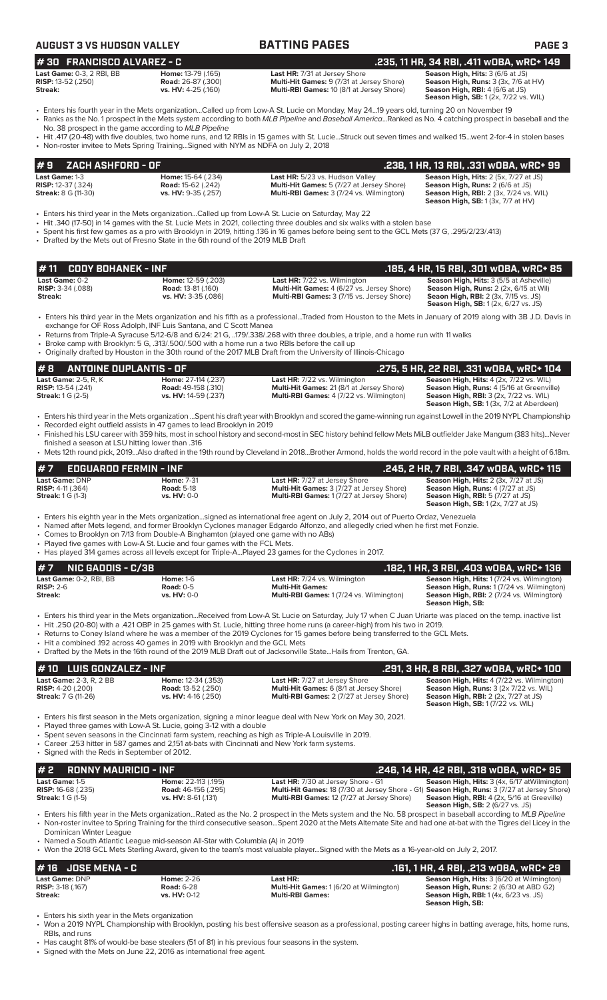| <b>AUGUST 3 VS HUDSON VALLEY</b>                                                                                                                                                                                                                                                                                               |                                                                           | <b>BATTING PAGES</b>                                                                                                                                                                                                                                                                                                                                                                                                                                                                                                                          | PAGE <sub>3</sub>                                                                                                                                                                 |
|--------------------------------------------------------------------------------------------------------------------------------------------------------------------------------------------------------------------------------------------------------------------------------------------------------------------------------|---------------------------------------------------------------------------|-----------------------------------------------------------------------------------------------------------------------------------------------------------------------------------------------------------------------------------------------------------------------------------------------------------------------------------------------------------------------------------------------------------------------------------------------------------------------------------------------------------------------------------------------|-----------------------------------------------------------------------------------------------------------------------------------------------------------------------------------|
| #30 FRANCISCO ALVAREZ - C                                                                                                                                                                                                                                                                                                      |                                                                           |                                                                                                                                                                                                                                                                                                                                                                                                                                                                                                                                               | .235, 11 HR, 34 RBI, .411 wOBA, wRC+ 149                                                                                                                                          |
| Last Game: 0-3, 2 RBI, BB<br><b>RISP:</b> 13-52 (.250)<br>Streak:                                                                                                                                                                                                                                                              | Home: 13-79 (.165)<br><b>Road:</b> 26-87 (.300)<br>vs. HV: 4-25 (.160)    | Last HR: 7/31 at Jersey Shore<br>Multi-Hit Games: 9 (7/31 at Jersey Shore)<br>Multi-RBI Games: 10 (8/1 at Jersey Shore)                                                                                                                                                                                                                                                                                                                                                                                                                       | Season High, Hits: 3 (6/6 at JS)<br>Season High, Runs: 3 (3x, 7/6 at HV)<br><b>Season High, RBI:</b> $4(6/6$ at JS)<br><b>Season High, SB:</b> 1 (2x, 7/22 vs. WIL)               |
| No. 38 prospect in the game according to MLB Pipeline                                                                                                                                                                                                                                                                          |                                                                           | · Enters his fourth year in the Mets organizationCalled up from Low-A St. Lucie on Monday, May 2419 years old, turning 20 on November 19<br>• Ranks as the No. 1 prospect in the Mets system according to both MLB Pipeline and Baseball AmericaRanked as No. 4 catching prospect in baseball and the<br>• Hit .417 (20-48) with five doubles, two home runs, and 12 RBIs in 15 games with St. LucieStruck out seven times and walked 15went 2-for-4 in stolen bases                                                                          |                                                                                                                                                                                   |
| • Non-roster invitee to Mets Spring TrainingSigned with NYM as NDFA on July 2, 2018                                                                                                                                                                                                                                            |                                                                           |                                                                                                                                                                                                                                                                                                                                                                                                                                                                                                                                               |                                                                                                                                                                                   |
| ZACH ASHFORD - OF<br>#9                                                                                                                                                                                                                                                                                                        |                                                                           |                                                                                                                                                                                                                                                                                                                                                                                                                                                                                                                                               | .238, 1 HR, 13 RBI, .331 wOBA, wRC+ 99                                                                                                                                            |
| Last Game: 1-3<br><b>RISP:</b> 12-37 (.324)<br><b>Streak: 8 G (11-30)</b>                                                                                                                                                                                                                                                      | Home: 15-64 (.234)<br><b>Road:</b> 15-62 (.242)<br>vs. HV: 9-35 (.257)    | Last HR: 5/23 vs. Hudson Valley<br>Multi-Hit Games: 5 (7/27 at Jersey Shore)<br>Multi-RBI Games: 3 (7/24 vs. Wilmington)                                                                                                                                                                                                                                                                                                                                                                                                                      | Season High, Hits: 2 (5x, 7/27 at JS)<br>Season High, Runs: 2 (6/6 at JS)<br><b>Season High, RBI: 2 (3x, 7/24 vs. WIL)</b><br><b>Season High, SB:</b> 1 (3x, 7/7 at HV)           |
| Enters his third year in the Mets organizationCalled up from Low-A St. Lucie on Saturday, May 22 •<br>• Drafted by the Mets out of Fresno State in the 6th round of the 2019 MLB Draft                                                                                                                                         |                                                                           | Hit .340 (17-50) in 14 games with the St. Lucie Mets in 2021, collecting three doubles and six walks with a stolen base<br>• Spent his first few games as a pro with Brooklyn in 2019, hitting 136 in 16 games before being sent to the GCL Mets (37 G, .295/2/23/.413)                                                                                                                                                                                                                                                                       |                                                                                                                                                                                   |
| <b>CODY BOHANEK - INF</b><br>#11                                                                                                                                                                                                                                                                                               |                                                                           |                                                                                                                                                                                                                                                                                                                                                                                                                                                                                                                                               | .185, 4 HR, 15 RBI, .301 w0BA, wRC+ 85                                                                                                                                            |
| Last Game: 0-2<br>RISP: 3-34 (.088)<br>Streak:                                                                                                                                                                                                                                                                                 | Home: 12-59 (.203)<br><b>Road: 13-81 (.160)</b><br>vs. HV: 3-35 (.086)    | Last HR: 7/22 vs. Wilmington<br>Multi-Hit Games: 4 (6/27 vs. Jersey Shore)<br>Multi-RBI Games: 3 (7/15 vs. Jersey Shore)                                                                                                                                                                                                                                                                                                                                                                                                                      | Season High, Hits: 3 (5/5 at Asheville)<br>Season High, Runs: 2 (2x, 6/15 at Wil)<br><b>Seaon High, RBI:</b> 2 (3x, 7/15 vs. JS)<br><b>Season High, SB:</b> 1 (2x, 6/27 vs. JS)   |
| exchange for OF Ross Adolph, INF Luis Santana, and C Scott Manea<br>• Broke camp with Brooklyn: 5 G, .313/.500/.500 with a home run a two RBIs before the call up                                                                                                                                                              |                                                                           | • Enters his third year in the Mets organization and his fifth as a professionalTraded from Houston to the Mets in January of 2019 along with 3B J.D. Davis in<br>• Returns from Triple-A Syracuse 5/12-6/8 and 6/24: 21 G, 179/.338/.268 with three doubles, a triple, and a home run with 11 walks<br>• Originally drafted by Houston in the 30th round of the 2017 MLB Draft from the University of Illinois-Chicago                                                                                                                       |                                                                                                                                                                                   |
| #8<br><b>ANTOINE DUPLANTIS - OF</b>                                                                                                                                                                                                                                                                                            |                                                                           |                                                                                                                                                                                                                                                                                                                                                                                                                                                                                                                                               | .275, 5 HR, 22 RBI, .331 wOBA, wRC+ 104                                                                                                                                           |
| Last Game: 2-5, R, K<br><b>RISP:</b> 13-54 (.241)<br><b>Streak:</b> 1 G (2-5)                                                                                                                                                                                                                                                  | Home: 27-114 (.237)<br><b>Road: 49-158 (.310)</b><br>vs. HV: 14-59 (.237) | Last HR: 7/22 vs. Wilmington<br>Multi-Hit Games: 21 (8/1 at Jersey Shore)<br>Multi-RBI Games: 4 (7/22 vs. Wilmington)                                                                                                                                                                                                                                                                                                                                                                                                                         | Season High, Hits: 4 (2x, 7/22 vs. WIL)<br>Season High, Runs: 4 (5/16 at Greenville)<br><b>Season High, RBI: 3 (2x, 7/22 vs. WIL)</b><br>Season High, SB: 1 (3x, 7/2 at Aberdeen) |
| • Recorded eight outfield assists in 47 games to lead Brooklyn in 2019                                                                                                                                                                                                                                                         |                                                                           | • Enters his third year in the Mets organization Spent his draft year with Brooklyn and scored the game-winning run against Lowell in the 2019 NYPL Championship<br>• Finished his LSU career with 359 hits, most in school history and second-most in SEC history behind fellow Mets MiLB outfielder Jake Mangum (383 hits)Never                                                                                                                                                                                                             |                                                                                                                                                                                   |
| finished a season at LSU hitting lower than .316                                                                                                                                                                                                                                                                               |                                                                           | • Mets 12th round pick, 2019Also drafted in the 19th round by Cleveland in 2018Brother Armond, holds the world record in the pole vault with a height of 6.18m.                                                                                                                                                                                                                                                                                                                                                                               |                                                                                                                                                                                   |
| <b>EDGUARDO FERMIN - INF</b><br>#7                                                                                                                                                                                                                                                                                             |                                                                           |                                                                                                                                                                                                                                                                                                                                                                                                                                                                                                                                               | .245, 2 HR, 7 RBI, .347 wOBA, wRC+ 115                                                                                                                                            |
| Last Game: DNP<br>RISP: 4-11 (.364)<br><b>Streak:</b> 1 G (1-3)                                                                                                                                                                                                                                                                | <b>Home: 7-31</b><br><b>Road: 5-18</b><br>vs. HV: 0-0                     | Last HR: 7/27 at Jersey Shore<br>Multi-Hit Games: 3 (7/27 at Jersey Shore)<br>Multi-RBI Games: 1 (7/27 at Jersey Shore)                                                                                                                                                                                                                                                                                                                                                                                                                       | Season High, Hits: 2 (3x, 7/27 at JS)<br>Season High, Runs: 4 (7/27 at JS)<br>Season High, RBI: 5 (7/27 at JS)<br><b>Season High, SB:</b> 1 (2x, 7/27 at JS)                      |
| • Comes to Brooklyn on 7/13 from Double-A Binghamton (played one game with no ABs)<br>• Played five games with Low-A St. Lucie and four games with the FCL Mets.<br>• Has played 314 games across all levels except for Triple-APlayed 23 games for the Cyclones in 2017.                                                      |                                                                           | · Enters his eighth year in the Mets organizationsigned as international free agent on July 2, 2014 out of Puerto Ordaz, Venezuela<br>· Named after Mets legend, and former Brooklyn Cyclones manager Edgardo Alfonzo, and allegedly cried when he first met Fonzie.                                                                                                                                                                                                                                                                          |                                                                                                                                                                                   |
| <b>NIC GADDIS - C/3B</b><br>#7                                                                                                                                                                                                                                                                                                 |                                                                           |                                                                                                                                                                                                                                                                                                                                                                                                                                                                                                                                               | .182, 1 HR, 3 RBI, .403 WOBA, WRC+ 136                                                                                                                                            |
| Last Game: 0-2, RBI, BB<br><b>RISP: 2-6</b><br>Streak:                                                                                                                                                                                                                                                                         | <b>Home: 1-6</b><br><b>Road: 0-5</b><br>vs. HV: 0-0                       | <b>Last HR:</b> 7/24 vs. Wilmington<br><b>Multi-Hit Games:</b><br>Multi-RBI Games: 1 (7/24 vs. Wilmington)                                                                                                                                                                                                                                                                                                                                                                                                                                    | Season High, Hits: 1 (7/24 vs. Wilmington)<br>Season High, Runs: 1 (7/24 vs. Wilmington)<br>Season High, RBI: 2 (7/24 vs. Wilmington)<br>Season High, SB:                         |
| • Hit a combined .192 across 40 games in 2019 with Brooklyn and the GCL Mets                                                                                                                                                                                                                                                   |                                                                           | • Enters his third year in the Mets organizationReceived from Low-A St. Lucie on Saturday, July 17 when C Juan Uriarte was placed on the temp. inactive list<br>. Hit .250 (20-80) with a .421 OBP in 25 games with St. Lucie, hitting three home runs (a career-high) from his two in 2019.<br>• Returns to Coney Island where he was a member of the 2019 Cyclones for 15 games before being transferred to the GCL Mets.<br>• Drafted by the Mets in the 16th round of the 2019 MLB Draft out of Jacksonville StateHails from Trenton, GA. |                                                                                                                                                                                   |
| <b>LUIS GONZALEZ - INF</b><br># 10                                                                                                                                                                                                                                                                                             |                                                                           |                                                                                                                                                                                                                                                                                                                                                                                                                                                                                                                                               | .291, 3 HR, 8 RBI, .327 wOBA, wRC+ 100                                                                                                                                            |
| Last Game: 2-3, R, 2 BB<br><b>RISP:</b> $4-20$ (.200)<br><b>Streak: 7 G (11-26)</b>                                                                                                                                                                                                                                            | Home: 12-34 (.353)<br><b>Road: 13-52 (.250)</b><br>vs. HV: 4-16 (.250)    | Last HR: 7/27 at Jersey Shore<br>Multi-Hit Games: 6 (8/1 at Jersey Shore)<br>Multi-RBI Games: 2 (7/27 at Jersey Shore)                                                                                                                                                                                                                                                                                                                                                                                                                        | Season High, Hits: 4 (7/22 vs. Wilmington)<br>Season High, Runs: 3 (2x 7/22 vs. WIL)<br><b>Season High, RBI:</b> 2 (2x, 7/27 at JS)<br><b>Season High, SB: 1 (7/22 vs. WIL)</b>   |
| • Played three games with Low-A St. Lucie, going 3-12 with a double<br>• Spent seven seasons in the Cincinnati farm system, reaching as high as Triple-A Louisville in 2019.<br>• Career .253 hitter in 587 games and 2,151 at-bats with Cincinnati and New York farm systems.<br>• Signed with the Reds in September of 2012. |                                                                           | • Enters his first season in the Mets organization, signing a minor league deal with New York on May 30, 2021.                                                                                                                                                                                                                                                                                                                                                                                                                                |                                                                                                                                                                                   |
| #2<br><b>RONNY MAURICIO - INF</b>                                                                                                                                                                                                                                                                                              |                                                                           |                                                                                                                                                                                                                                                                                                                                                                                                                                                                                                                                               | .246, 14 HR, 42 RBI, .318 wDBA, wRC+ 95                                                                                                                                           |
| Last Game: 1-5<br><b>RISP:</b> 16-68 (.235)<br><b>Streak:</b> 1 G (1-5)                                                                                                                                                                                                                                                        | Home: 22-113 (.195)<br><b>Road:</b> 46-156 (.295)<br>vs. HV: 8-61 (.131)  | Last HR: 7/30 at Jersey Shore - G1<br>Multi-Hit Games: 18 (7/30 at Jersey Shore - G1) Season High, Runs: 3 (7/27 at Jersey Shore)<br>Multi-RBI Games: 12 (7/27 at Jersey Shore)                                                                                                                                                                                                                                                                                                                                                               | Season High, Hits: 3 (4x, 6/17 at Wilmington)<br>Season High, RBI: 4 (2x, 5/16 at Greeville)<br><b>Season High, SB: 2 (6/27 vs. JS)</b>                                           |
| Dominican Winter League<br>• Named a South Atlantic League mid-season All-Star with Columbia (A) in 2019                                                                                                                                                                                                                       |                                                                           | • Enters his fifth year in the Mets organizationRated as the No. 2 prospect in the Mets system and the No. 58 prospect in baseball according to MLB Pipeline<br>• Non-roster invitee to Spring Training for the third consecutive seasonSpent 2020 at the Mets Alternate Site and had one at-bat with the Tigres del Licey in the                                                                                                                                                                                                             |                                                                                                                                                                                   |
|                                                                                                                                                                                                                                                                                                                                |                                                                           | • Won the 2018 GCL Mets Sterling Award, given to the team's most valuable playerSigned with the Mets as a 16-year-old on July 2, 2017.                                                                                                                                                                                                                                                                                                                                                                                                        |                                                                                                                                                                                   |
| <b>JOSE MENA - C</b><br>#16                                                                                                                                                                                                                                                                                                    |                                                                           |                                                                                                                                                                                                                                                                                                                                                                                                                                                                                                                                               | .161, 1 HR, 4 RBI, .213 WOBA, WRC+ 29                                                                                                                                             |
| Last Game: DNP<br><b>RISP: 3-18 (.167)</b><br>Streak:                                                                                                                                                                                                                                                                          | <b>Home: 2-26</b><br><b>Road: 6-28</b><br>vs. HV: 0-12                    | Last HR:<br>Multi-Hit Games: 1 (6/20 at Wilmington)<br><b>Multi-RBI Games:</b>                                                                                                                                                                                                                                                                                                                                                                                                                                                                | Season High, Hits: 3 (6/20 at Wilmington)<br>Season High, Runs: 2 (6/30 at ABD G2)<br>Season High, RBI: 1 (4x, 6/23 vs. JS)<br>Season High, SB:                                   |

• Enters his sixth year in the Mets organization

• Won a 2019 NYPL Championship with Brooklyn, posting his best offensive season as a professional, posting career highs in batting average, hits, home runs, RBIs, and runs

• Has caught 81% of would-be base stealers (51 of 81) in his previous four seasons in the system.

• Signed with the Mets on June 22, 2016 as international free agent.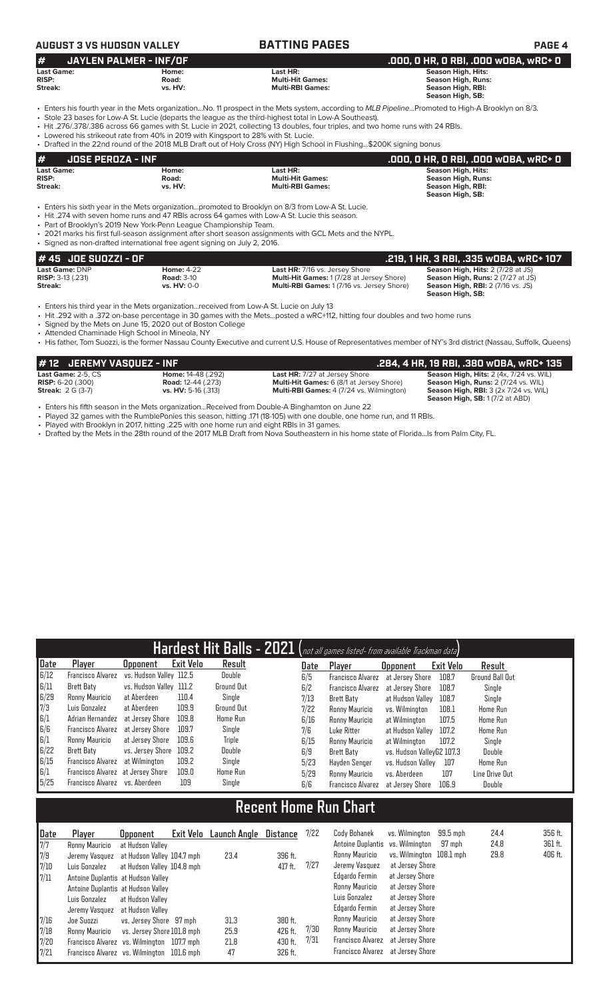# **AUGUST 3 VS HUDSON VALLEY BATTING PAGES PAGE 4**

| #                 | JAYLEN PALMER - INF/OF |                         | . .000, 0 HR, 0 RBI, .000 w0BA, wRC+ 0 <sup>1</sup> |
|-------------------|------------------------|-------------------------|-----------------------------------------------------|
| <b>Last Game:</b> | Home:                  | Last HR:                | Season High, Hits:                                  |
| <b>RISP:</b>      | Road:                  | <b>Multi-Hit Games:</b> | <b>Season High, Runs:</b>                           |
| Streak:           | vs. HV:                | <b>Multi-RBI Games:</b> | Season High, RBI:                                   |
|                   |                        |                         | Season High, SB:                                    |

- Enters his fourth year in the Mets organization...No. 11 prospect in the Mets system, according to *MLB Pipeline*...Promoted to High-A Brooklyn on 8/3.
- Stole 23 bases for Low-A St. Lucie (departs the league as the third-highest total in Low-A Southeast). • Hit .276/.378/.386 across 66 games with St. Lucie in 2021, collecting 13 doubles, four triples, and two home runs with 24 RBIs.
- Lowered his strikeout rate from 40% in 2019 with Kingsport to 28% with St. Lucie.

• Drafted in the 22nd round of the 2018 MLB Draft out of Holy Cross (NY) High School in Flushing...\$200K signing bonus

|                          |                         | .000, 0 HR, 0 RBI, .000 w0BA, wRC+ 0  |
|--------------------------|-------------------------|---------------------------------------|
| Home:                    | Last HR:                | Season High, Hits:                    |
| Road:                    | <b>Multi-Hit Games:</b> | Season High, Runs:                    |
| vs. HV:                  | <b>Multi-RBI Games:</b> | Season High, RBI:<br>Season High, SB: |
| <b>JOSE PEROZA - INF</b> |                         |                                       |

• Enters his sixth year in the Mets organization...promoted to Brooklyn on 8/3 from Low-A St. Lucie.

• Hit .274 with seven home runs and 47 RBIs across 64 games with Low-A St. Lucie this season.

• Part of Brooklyn's 2019 New York-Penn League Championship Team.

• 2021 marks his first full-season assignment after short season assignments with GCL Mets and the NYPL. • Signed as non-drafted international free agent signing on July 2, 2016.

| $#45$ JOE SUOZZI - OF    |                    |                                                  | .219, 1 HR, 3 RBI, .335 wOBA, wRC+ 107   |
|--------------------------|--------------------|--------------------------------------------------|------------------------------------------|
| <b>Last Game: DNP</b>    | <b>Home: 4-22</b>  | <b>Last HR: 7/16 vs. Jersey Shore</b>            | <b>Season High, Hits: 2 (7/28 at JS)</b> |
| <b>RISP: 3-13 (.231)</b> | <b>Road: 3-10</b>  | <b>Multi-Hit Games: 1(7/28 at Jersey Shore)</b>  | <b>Season High, Runs: 2 (7/27 at JS)</b> |
| Streak:                  | <b>vs. HV: 0-0</b> | <b>Multi-RBI Games: 1(7/16 vs. Jersey Shore)</b> | <b>Season High, RBI:</b> 2 (7/16 vs. JS) |
|                          |                    |                                                  | Season High, SB:                         |

• Enters his third year in the Mets organization...received from Low-A St. Lucie on July 13

• Hit .292 with a .372 on-base percentage in 30 games with the Mets...posted a wRC+112, hitting four doubles and two home runs

• Signed by the Mets on June 15, 2020 out of Boston College

• Attended Chaminade High School in Mineola, NY

• His father, Tom Suozzi, is the former Nassau County Executive and current U.S. House of Representatives member of NY's 3rd district (Nassau, Suffolk, Queens)

| $\#$ 12 $\,$ JEREMY VASQUEZ - INF $\,$ |                            |                                                 | .284, 4 HR, 19 RBI, .380 wOBA, wRC+ 135              |
|----------------------------------------|----------------------------|-------------------------------------------------|------------------------------------------------------|
| Last Game: $2-5$ . $CS$                | <b>Home:</b> 14-48 (.292)  | <b>Last HR:</b> 7/27 at Jersey Shore            | Season High, Hits: 2 (4x, 7/24 vs. WIL)              |
| <b>RISP:</b> $6-20$ (.300)             | <b>Road:</b> 12-44 (.273)  | <b>Multi-Hit Games:</b> 6 (8/1 at Jersey Shore) | Season High, Runs: 2 (7/24 vs. WIL)                  |
| <b>Streak: 2 G (3-7)</b>               | <b>vs. HV:</b> 5-16 (.313) | <b>Multi-RBI Games:</b> 4 (7/24 vs. Wilmington) | <b>Season High, RBI:</b> $3$ ( $2x$ 7/ $24$ vs. WIL) |
|                                        |                            |                                                 | <b>Season High, SB: 1(7/2 at ABD)</b>                |

• Enters his fifth season in the Mets organization...Received from Double-A Binghamton on June 22

• Played 32 games with the RumblePonies this season, hitting .171 (18-105) with one double, one home run, and 11 RBIs.

• Played with Brooklyn in 2017, hitting .225 with one home run and eight RBIs in 31 games.

• Drafted by the Mets in the 28th round of the 2017 MLB Draft from Nova Southeastern in his home state of Florida...Is from Palm City, FL.

| Hardest Hit Balls - 2021 (not all games listed- from available Trackman data) |                                   |                         |                  |                 |  |      |                          |                           |           |                        |  |
|-------------------------------------------------------------------------------|-----------------------------------|-------------------------|------------------|-----------------|--|------|--------------------------|---------------------------|-----------|------------------------|--|
| Date                                                                          | Player                            | <b>Opponent</b>         | <b>Exit Velo</b> | Result          |  | Date | Player                   | <b>Opponent</b>           | Exit Velo | Result                 |  |
| 6/12                                                                          | <b>Francisco Alvarez</b>          | vs. Hudson Valley 112.5 |                  | Double          |  | 6/5  | <b>Francisco Alvarez</b> | at Jersev Shore           | 108.7     | <b>Ground Ball Out</b> |  |
| 6/11                                                                          | Brett Baty                        | vs. Hudson Valley 111.2 |                  | Ground Out      |  | 6/2  | <b>Francisco Alvarez</b> | at Jersev Shore           | 108.7     | Single                 |  |
| 6/29                                                                          | Ronny Mauricio                    | at Aberdeen             | 110.4            | Single          |  | 7/13 | <b>Brett Baty</b>        | at Hudson Vallev          | 108.7     | Single                 |  |
| 7/3                                                                           | Luis Gonzalez                     | at Aberdeen             | 109.9            | Ground Out      |  | 7/22 | Ronny Mauricio           | vs. Wilminaton            | 108.1     | <b>Home Run</b>        |  |
| 6/1                                                                           | Adrian Hernandez                  | at Jersev Shore         | 109.8            | Home Run        |  | 6/16 | Ronny Mauricio           | at Wilmington             | 107.5     | <b>Home Run</b>        |  |
| 6/6                                                                           | Francisco Alvarez                 | at Jersey Shore         | 109.7            | Single          |  | 7/6  | Luke Ritter              | at Hudson Valley          | 107.2     | <b>Home Run</b>        |  |
| 6/1                                                                           | Ronny Mauricio                    | at Jersev Shore         | 109.6            | Triple          |  | 6/15 | Ronny Mauricio           | at Wilmington             | 107.2     | Single                 |  |
| 6/22                                                                          | Brett Baty                        | vs. Jersey Shore        | 109.2            | Double          |  | 6/9  | <b>Brett Baty</b>        | vs. Hudson ValleyG2 107.3 |           | Double                 |  |
| 6/15                                                                          | Francisco Alvarez                 | at Wilmington           | 109.2            | Single          |  | 5/23 | Hayden Senger            | vs. Hudson Valley         | 107       | <b>Home Run</b>        |  |
| 6/1                                                                           | Francisco Alvarez at Jersey Shore |                         | 109.0            | <b>Home Run</b> |  | 5/29 | Ronny Mauricio           | vs. Aberdeen              | 107       | Line Drive Out         |  |
| 5/25                                                                          | Francisco Alvarez vs. Aberdeen    |                         | 109              | Single          |  | 6/6  | <b>Francisco Alvarez</b> | at Jersey Shore           | 106.9     | Double                 |  |

# **Recent Home Run Chart**

|                                                                                           | Player<br>Ronny Mauricio                                                                                                 | <b>Opponent</b><br>at Hudson Valley                   | Exit Velo Launch Angle     | Distance                                 | 7/22         | Cody Bohanek<br>Antoine Duplantis vs. Wilmington                           | vs. Wilmington                                                           | 99.5 mph<br>97 mph | 24.4<br>24.8 | 356 ft.<br>361 ft. |
|-------------------------------------------------------------------------------------------|--------------------------------------------------------------------------------------------------------------------------|-------------------------------------------------------|----------------------------|------------------------------------------|--------------|----------------------------------------------------------------------------|--------------------------------------------------------------------------|--------------------|--------------|--------------------|
| $\begin{array}{l} \underline{\textsf{Date}} \\ 7/7 \\ 7/9 \\ 7/10 \\ 7/11 \\ \end{array}$ | Jeremy Vasquez at Hudson Valley 104.7 mph<br>Luis Gonzalez                                                               | at Hudson Valley 104.8 mph                            | 23.4                       | 396 ft.<br>417 ft.                       | 7/27         | Ronny Mauricio<br>Jeremy Vasquez                                           | vs. Wilmington 108.1 mph<br>at Jersey Shore                              |                    | 29.8         | 406 ft.            |
|                                                                                           | Antoine Duplantis at Hudson Valley<br>Antoine Duplantis at Hudson Valley<br>Luis Gonzalez<br>Jeremy Vasquez              | at Hudson Valley<br>at Hudson Valley                  |                            |                                          |              | Edgardo Fermin<br>Ronny Mauricio<br>Luis Gonzalez<br>Edgardo Fermin        | at Jersey Shore<br>at Jersey Shore<br>at Jersey Shore<br>at Jersey Shore |                    |              |                    |
| $\begin{array}{c} 7/16 \\ 7/18 \\ 7/20 \\ 7/21 \end{array}$                               | Joe Suozzi<br>Ronny Mauricio<br>Francisco Alvarez vs. Wilmington 107.7 mph<br>Francisco Alvarez vs. Wilmington 101.6 mph | vs. Jersey Shore 97 mph<br>vs. Jersey Shore 101.8 mph | 31.3<br>25.9<br>21.8<br>47 | 380 ft.<br>426 ft.<br>430 ft.<br>326 ft. | 7/30<br>7/31 | Ronny Mauricio<br>Ronny Mauricio<br>Francisco Alvarez<br>Francisco Alvarez | at Jersey Shore<br>at Jersey Shore<br>at Jersey Shore<br>at Jersey Shore |                    |              |                    |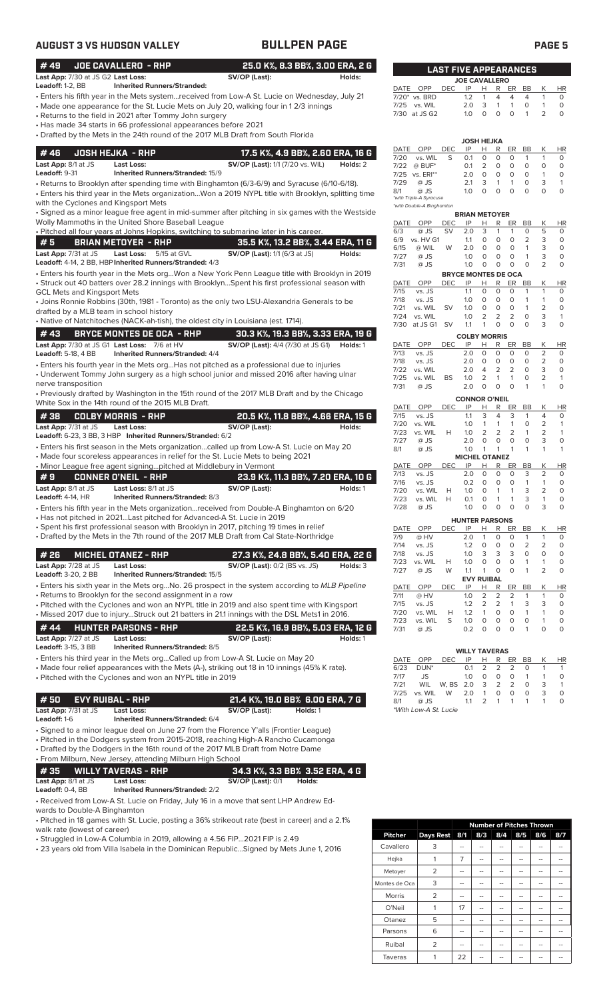# **AUGUST 3 VS HUDSON VALLEY BULLPEN PAGE PAGE 5**

| #49                                         | <b>JOE CAVALLERO - RHP</b>                                                      | 25.0 K%, 8.3 BB%, 3.00 ERA, 2 G                                                                                                                                                              |                                        |            |            | <b>LAST FIVE APPEARANCES</b>             |                             |                           |                     |                         |
|---------------------------------------------|---------------------------------------------------------------------------------|----------------------------------------------------------------------------------------------------------------------------------------------------------------------------------------------|----------------------------------------|------------|------------|------------------------------------------|-----------------------------|---------------------------|---------------------|-------------------------|
| Last App: 7/30 at JS G2 Last Loss:          | <b>Inherited Runners/Stranded:</b>                                              | SV/OP (Last):<br>Holds:                                                                                                                                                                      |                                        |            |            | <b>JOE CAVALLERO</b>                     |                             |                           |                     |                         |
| Leadoff: 1-2, BB                            |                                                                                 | · Enters his fifth year in the Mets systemreceived from Low-A St. Lucie on Wednesday, July 21                                                                                                | DATE OPP<br>7/20* vs. BRD              | <b>DEC</b> | IP<br>1.2  | Н.<br>4<br>1                             | R ER<br>4                   | BB<br>$\overline{4}$      | К<br>$\mathbf{1}$   | HR<br>0                 |
|                                             |                                                                                 | • Made one appearance for the St. Lucie Mets on July 20, walking four in 1 2/3 innings                                                                                                       | vs. WIL<br>7/25                        |            | 2.0        | 3<br>$\mathbf{1}$                        | 1                           | 0                         | 1                   | $\circ$                 |
|                                             | Returns to the field in 2021 after Tommy John surgery                           |                                                                                                                                                                                              | 7/30 at JS G2                          |            | 1.0        | $\circ$<br>$\circ$                       | $\circ$                     | $\mathbf{1}$              | 2                   | $\Omega$                |
|                                             | Has made 34 starts in 66 professional appearances before 2021 •                 | • Drafted by the Mets in the 24th round of the 2017 MLB Draft from South Florida                                                                                                             |                                        |            |            |                                          |                             |                           |                     |                         |
|                                             |                                                                                 |                                                                                                                                                                                              |                                        |            |            | JOSH HEJKA                               |                             |                           |                     |                         |
| #46                                         | <b>JOSH HEJKA - RHP</b>                                                         | 17.5 K%, 4.9 BB%, 2.60 ERA, 16 G                                                                                                                                                             | OPP<br>DATE<br>7/20<br>vs. WIL         | DEC<br>S   | IP<br>0.1  | н<br>R<br>0<br>0                         | ER<br>O                     | BB<br>-1                  | К<br>$\mathbf{1}$   | HR<br>0                 |
| Last App: 8/1 at JS<br>Leadoff: 9-31        | <b>Last Loss:</b><br><b>Inherited Runners/Stranded: 15/9</b>                    | <b>SV/OP (Last):</b> 1/1 (7/20 vs. WIL)<br>Holds: 2                                                                                                                                          | $@$ BUF*<br>7/22                       |            | 0.1        | 2<br>0                                   | $\circ$                     | $\circ$                   | $\circ$             | $\circ$                 |
|                                             |                                                                                 | • Returns to Brooklyn after spending time with Binghamton (6/3-6/9) and Syracuse (6/10-6/18).                                                                                                | 7/25 vs. ERI**<br>7/29<br>@ JS         |            | 2.0<br>2.1 | $\circ$<br>0<br>3<br>$\mathbf{1}$        | 0<br>$\mathbf{1}$           | $\circ$<br>0              | $\mathbf{1}$<br>3   | $\circ$<br>$\mathbf{1}$ |
|                                             |                                                                                 | Enters his third year in the Mets organizationWon a 2019 NYPL title with Brooklyn, splitting time                                                                                            | 8/1<br>@ JS<br>*with Triple-A Syracuse |            | 1.0        | $\circ$<br>$\circ$                       | $\circ$                     | $\circ$                   | $\circ$             | $\circ$                 |
| with the Cyclones and Kingsport Mets        |                                                                                 |                                                                                                                                                                                              | *with Double-A Binghamton              |            |            |                                          |                             |                           |                     |                         |
|                                             | Wolly Mammoths in the United Shore Baseball League                              | Signed as a minor league free agent in mid-summer after pitching in six games with the Westside •                                                                                            | DATE<br>OPP                            | DEC        | IP         | <b>BRIAN METOYER</b><br>R<br>Н           | ER                          | BB                        | К                   | HR                      |
|                                             |                                                                                 | · Pitched all four years at Johns Hopkins, switching to submarine later in his career.                                                                                                       | 6/3<br>@ JS                            | <b>SV</b>  | 2.0        | 3<br>$\mathbf{1}$                        | 1                           | $\mathbf 0$               | 5                   | $\circ$                 |
| #5                                          | <b>BRIAN METOYER - RHP</b>                                                      | 35.5 K%, 13.2 BB%, 3.44 ERA, 11 G                                                                                                                                                            | 6/9<br>vs. HV G1<br>6/15<br>@ WIL      | W          | 1.1<br>2.0 | 0<br>0<br>$\circ$<br>$\circ$             | 0<br>0                      | 2<br>$\mathbf{1}$         | 3<br>3              | $\circ$<br>$\circ$      |
| Last App: 7/31 at JS                        | 5/15 at GVL<br>Last Loss:                                                       | SV/OP (Last): 1/1 (6/3 at JS)<br>Holds:                                                                                                                                                      | 7/27<br>@ JS                           |            | 1.0        | 0<br>0                                   | 0                           | 1                         | 3                   | $\circ$                 |
|                                             | Leadoff: 4-14, 2 BB, HBP Inherited Runners/Stranded: 4/3                        | Enters his fourth year in the Mets orgWon a New York Penn League title with Brooklyn in 2019 .                                                                                               | 7/31<br>@ JS                           |            | 1.0        | 0<br>0                                   | 0                           | $\circ$                   | 2                   | $\circ$                 |
|                                             |                                                                                 | · Struck out 40 batters over 28.2 innings with BrooklynSpent his first professional season with                                                                                              | DATE OPP                               | <b>DEC</b> | IP         | <b>BRYCE MONTES DE OCA</b><br>R<br>н     | ER                          | BB                        | Κ                   | HR                      |
| GCL Mets and Kingsport Mets                 |                                                                                 |                                                                                                                                                                                              | vs. JS<br>7/15<br>7/18                 |            | 1.1        | $\circ$<br>0                             | $\circ$                     | 1<br>$\mathbf{1}$         | $\mathbf{1}$<br>1   | 0                       |
| drafted by a MLB team in school history     |                                                                                 | • Joins Ronnie Robbins (30th, 1981 - Toronto) as the only two LSU-Alexandria Generals to be                                                                                                  | vs. JS<br>7/21<br>vs. WIL              | <b>SV</b>  | 1.0<br>1.0 | 0<br>0<br>0<br>0                         | 0<br>0                      | $\mathbf{1}$              | 2                   | 0<br>0                  |
|                                             |                                                                                 | • Native of Natchitoches (NACK-ah-tish), the oldest city in Louisiana (est. 1714).                                                                                                           | 7/24<br>vs. WIL                        |            | 1.0        | 2<br>2<br>$\mathbf{1}$<br>0              | $\overline{2}$<br>$\Omega$  | 0<br>$\circ$              | 3<br>3              | $\mathbf{1}$<br>$\circ$ |
| #43                                         | <b>BRYCE MONTES DE OCA - RHP</b>                                                | 30.3 K%, 19.3 BB%, 3.33 ERA, 19 G                                                                                                                                                            | 7/30 at JS G1 SV                       |            | 1.1        | <b>COLBY MORRIS</b>                      |                             |                           |                     |                         |
|                                             | Last App: 7/30 at JS G1 Last Loss: 7/6 at HV                                    | <b>SV/OP (Last):</b> 4/4 (7/30 at JS G1)<br>Holds: 1                                                                                                                                         | OPP<br>DATE                            | <b>DEC</b> | IP         | R<br>н                                   | ER                          | BB                        | К                   | HR                      |
| <b>Leadoff: 5-18, 4 BB</b>                  | <b>Inherited Runners/Stranded: 4/4</b>                                          |                                                                                                                                                                                              | 7/13<br>vs. JS<br>7/18<br>vs. JS       |            | 2.0<br>2.0 | 0<br>0<br>0<br>0                         | O<br>0                      | 0<br>0                    | 2<br>2              | 0<br>$\circ$            |
|                                             |                                                                                 | Enters his fourth year in the Mets orgHas not pitched as a professional due to injuries                                                                                                      | 7/22<br>vs. WIL                        |            | 2.0        | 2<br>4                                   | 2                           | 0                         | 3                   | $\circ$                 |
| nerve transposition                         |                                                                                 | • Underwent Tommy John surgery as a high school junior and missed 2016 after having ulnar                                                                                                    | 7/25<br>vs. WIL<br>7/31<br>@ JS        | <b>BS</b>  | 1.0<br>2.0 | 2<br>$\mathbf{1}$<br>$\circ$<br>0        | $\mathbf{1}$<br>O           | $\circ$<br>1              | 2<br>1              | $\mathbf{1}$<br>$\circ$ |
|                                             |                                                                                 | . Previously drafted by Washington in the 15th round of the 2017 MLB Draft and by the Chicago                                                                                                |                                        |            |            | <b>CONNOR O'NEIL</b>                     |                             |                           |                     |                         |
|                                             | White Sox in the 14th round of the 2015 MLB Draft.                              |                                                                                                                                                                                              | DATE<br>OPP                            | <b>DEC</b> | IP         | R<br>H                                   | ER                          | BB                        | Κ                   | HR                      |
| #38                                         | <b>COLBY MORRIS - RHP</b>                                                       | 20.5 K%, 11.8 BB%, 4.66 ERA, 15 G                                                                                                                                                            | 7/15<br>vs. JS<br>7/20<br>vs. WIL      |            | 1.1<br>1.0 | 3<br>4<br>$\mathbf{1}$<br>$\mathbf{1}$   | 3<br>$\mathbf{1}$           | $\overline{1}$<br>0       | $\overline{4}$<br>2 | 0<br>$\mathbf{1}$       |
| Last App: 7/31 at JS                        | <b>Last Loss:</b><br>Leadoff: 6-23, 3 BB, 3 HBP Inherited Runners/Stranded: 6/2 | SV/OP (Last):<br>Holds:                                                                                                                                                                      | 7/23<br>vs. WIL                        | H          | 1.0        | $\overline{2}$<br>2                      | $\overline{2}$              | 1                         | 2                   | $\mathbf{1}$            |
|                                             |                                                                                 | • Enters his first season in the Mets organizationcalled up from Low-A St. Lucie on May 20                                                                                                   | 7/27<br>@ JS<br>8/1<br>@ JS            |            | 2.0<br>1.0 | 0<br>0<br>$\mathbf{1}$<br>1              | $\mathbf 0$<br>$\mathbf{1}$ | $\circ$<br>$\mathbf{1}$   | 3<br>1              | $\circ$<br>$\mathbf{1}$ |
|                                             |                                                                                 | • Made four scoreless appearances in relief for the St. Lucie Mets to being 2021                                                                                                             |                                        |            |            | <b>MICHEL OTANEZ</b>                     |                             |                           |                     |                         |
|                                             | • Minor League free agent signingpitched at Middlebury in Vermont               |                                                                                                                                                                                              | DATE<br>OPP<br>7/13<br>vs. JS          | <b>DEC</b> | IP<br>2.0  | Н<br>R<br>$\circ$<br>0                   | ER<br>0                     | BB<br>3                   | К<br>2              | HR<br>$\circ$           |
| #9<br>Last App: 8/1 at JS                   | <b>CONNER O'NEIL - RHP</b><br>Last Loss: 8/1 at JS                              | 23.9 K%, 11.3 BB%, 7.20 ERA, 10 G<br>SV/OP (Last):<br>Holds: 1                                                                                                                               | 7/16<br>vs. JS                         |            | 0.2        | $\circ$<br>0                             | 0                           | $\overline{1}$            | $\mathbf{1}$        | 0                       |
| <b>Leadoff:</b> 4-14, HR                    | <b>Inherited Runners/Stranded: 8/3</b>                                          |                                                                                                                                                                                              | 7/20<br>vs. WIL<br>vs. WIL<br>7/23     | H<br>Н     | 1.0<br>0.1 | 0<br>$\mathbf{1}$<br>0<br>1              | 1<br>1                      | 3<br>3                    | 2<br>1              | $\Omega$<br>0           |
|                                             |                                                                                 | Enters his fifth year in the Mets organizationreceived from Double-A Binghamton on 6/20 •                                                                                                    | 7/28<br>@ JS                           |            | 1.0        | 0<br>0                                   | 0                           | 0                         | 3                   | 0                       |
|                                             |                                                                                 | • Has not pitched in 2021Last pitched for Advanced-A St. Lucie in 2019<br>· Spent his first professional season with Brooklyn in 2017, pitching 19 times in relief                           |                                        |            |            | <b>HUNTER PARSONS</b>                    |                             |                           |                     |                         |
|                                             |                                                                                 | • Drafted by the Mets in the 7th round of the 2017 MLB Draft from Cal State-Northridge                                                                                                       | OPP<br>DATE<br>7/9<br>@ HV             | <b>DEC</b> | IP<br>2.0  | н<br>R<br>0<br>1                         | ER<br>0                     | <b>BB</b><br>$\mathbf{1}$ | Κ<br>$\mathbf{1}$   | HR<br>0                 |
|                                             |                                                                                 |                                                                                                                                                                                              | 7/14<br>vs. JS                         |            | 1.2        | $\mathbf 0$<br>0                         | 0                           | $\overline{2}$            | 2                   | 0                       |
| # 26                                        | <b>MICHEL OTANEZ - RHP</b>                                                      | 27.3 K%, 24.8 BB%, 5.40 ERA, 22 G                                                                                                                                                            | 7/18<br>vs. JS<br>7/23<br>vs. WIL      | Н          | 1.0<br>1.0 | 3<br>3<br>0<br>0                         | 3<br>0                      | 0<br>$\mathbf{1}$         | 0<br>1              | $\circ$<br>0            |
| Last App: 7/28 at JS<br>Leadoff: 3-20, 2 BB | Last Loss:<br>Inherited Runners/Stranded: 15/5                                  | <b>SV/OP (Last):</b> 0/2 (BS vs. JS)<br>Holds: 3                                                                                                                                             | 7/27<br>@ JS                           | W          | 1.1        | 1<br>0                                   | O                           | 1                         | 2                   | $\circ$                 |
|                                             |                                                                                 | • Enters his sixth year in the Mets orgNo. 26 prospect in the system according to <i>MLB Pipeline</i>                                                                                        | DATE<br>OPP                            | <b>DEC</b> | IP         | <b>EVY RUIBAL</b><br>н<br>R              | ER                          | BB                        | Κ                   | HR                      |
|                                             | • Returns to Brooklyn for the second assignment in a row                        |                                                                                                                                                                                              | @ HV<br>7/11                           |            | 1.0        | 2<br>2                                   | 2                           | -1                        | 1                   | 0                       |
|                                             |                                                                                 | • Pitched with the Cyclones and won an NYPL title in 2019 and also spent time with Kingsport<br>• Missed 2017 due to injuryStruck out 21 batters in 21.1 innings with the DSL Mets1 in 2016. | 7/15<br>vs. JS<br>7/20<br>vs. WIL      | Н          | 1.2<br>1.2 | $\overline{2}$<br>2<br>$\mathbf{1}$<br>0 | 1<br>0                      | 3<br>$\mathbf{1}$         | 3<br>$\mathbf{1}$   | 0<br>0                  |
| #44                                         | <b>HUNTER PARSONS - RHP</b>                                                     |                                                                                                                                                                                              | 7/23<br>vs. WIL                        | S          | 1.0        | 0<br>0                                   | 0                           | 0                         | 1                   | 0                       |
| Last App: 7/27 at JS                        | <b>Last Loss:</b>                                                               | 22.5 K%, 16.9 BB%, 5.03 ERA, 12 G<br>SV/OP (Last):<br>Holds: 1                                                                                                                               | 7/31<br>@ JS                           |            | 0.2        | 0<br>0                                   | $\circ$                     | $\mathbf{1}$              | 0                   | $\circ$                 |
| <b>Leadoff:</b> 3-15, 3 BB                  | Inherited Runners/Stranded: 8/5                                                 |                                                                                                                                                                                              |                                        |            |            | <b>WILLY TAVERAS</b>                     |                             |                           |                     |                         |
|                                             |                                                                                 | • Enters his third year in the Mets orgCalled up from Low-A St. Lucie on May 20                                                                                                              | OPP<br>DATE                            | <b>DEC</b> | IP         | Н<br>R                                   | ER                          | BB                        | К                   | HR                      |
|                                             | · Pitched with the Cyclones and won an NYPL title in 2019                       | • Made four relief appearances with the Mets (A-), striking out 18 in 10 innings (45% K rate).                                                                                               | 6/23<br>DUN <sup>*</sup><br>7/17<br>JS |            | 0.1<br>1.0 | 2<br>2<br>$\mathsf O$<br>$\circ$         | 2<br>0                      | 0<br>$\overline{1}$       | 1<br>$\mathbf{1}$   | $\mathbf{1}$<br>0       |
|                                             |                                                                                 |                                                                                                                                                                                              | 7/21<br>WIL                            | W, BS 2.0  |            | 3<br>2                                   | 2                           | 0                         | 3                   | $\mathbf{1}$            |
| #50                                         | <b>EVY RUIBAL - RHP</b>                                                         | 21.4 K%, 19.0 BB% 6.00 ERA, 7 G                                                                                                                                                              | 7/25<br>vs. WIL<br>8/1<br>@ JS         | W          | 2.0<br>1.1 | 0<br>$\mathbf{1}$<br>2<br>1              | 0<br>1                      | 0<br>$\mathbf{1}$         | 3<br>$\mathbf{1}$   | $\circ$<br>$\circ$      |
| Last App: 7/31 at JS                        | <b>Last Loss:</b>                                                               | SV/OP (Last):<br>Holds: 1                                                                                                                                                                    | *With Low-A St. Lucie                  |            |            |                                          |                             |                           |                     |                         |
| Leadoff: 1-6                                | Inherited Runners/Stranded: 6/4                                                 |                                                                                                                                                                                              |                                        |            |            |                                          |                             |                           |                     |                         |
|                                             |                                                                                 | • Signed to a minor league deal on June 27 from the Florence Y'alls (Frontier League)<br>• Pitched in the Dodgers system from 2015-2018, reaching High-A Rancho Cucamonga                    |                                        |            |            |                                          |                             |                           |                     |                         |
|                                             |                                                                                 | • Drafted by the Dodgers in the 16th round of the 2017 MLB Draft from Notre Dame                                                                                                             |                                        |            |            |                                          |                             |                           |                     |                         |
|                                             | • From Milburn, New Jersey, attending Milburn High School                       |                                                                                                                                                                                              |                                        |            |            |                                          |                             |                           |                     |                         |
| #35                                         | <b>WILLY TAVERAS - RHP</b>                                                      | 34.3 K%, 3.3 BB% 3.52 ERA, 4 G                                                                                                                                                               |                                        |            |            |                                          |                             |                           |                     |                         |
| Last App: 8/1 at JS<br>Leadoff: 0-4, BB     | <b>Last Loss:</b><br><b>Inherited Runners/Stranded: 2/2</b>                     | <b>SV/OP (Last): 0/1</b><br>Holds:                                                                                                                                                           |                                        |            |            |                                          |                             |                           |                     |                         |
|                                             |                                                                                 | • Received from Low-A St. Lucie on Friday, July 16 in a move that sent LHP Andrew Ed-                                                                                                        |                                        |            |            |                                          |                             |                           |                     |                         |

wards to Double-A Binghamton

• Pitched in 18 games with St. Lucie, posting a 36% strikeout rate (best in career) and a 2.1% walk rate (lowest of career)

• Struggled in Low-A Columbia in 2019, allowing a 4.56 FIP...2021 FIP is 2.49

• 23 years old from Villa Isabela in the Dominican Republic...Signed by Mets June 1, 2016

|                |                |     | <b>Number of Pitches Thrown</b> |     |     |     |     |
|----------------|----------------|-----|---------------------------------|-----|-----|-----|-----|
| <b>Pitcher</b> | Days Rest      | 8/1 | 8/3                             | 8/4 | 8/5 | 8/6 | 8/7 |
| Cavallero      | 3              |     |                                 |     |     |     |     |
| Hejka          | 1              | 7   | --                              |     | --  |     |     |
| Metoyer        | $\overline{2}$ | --  | --                              |     | --  | --  |     |
| Montes de Oca  | 3              |     | --                              |     |     | --  |     |
| <b>Morris</b>  | $\overline{2}$ |     |                                 |     |     |     |     |
| O'Neil         |                | 17  | --                              |     | --  | --  |     |
| Otanez         | 5              | --  |                                 |     | --  | --  |     |
| Parsons        | 6              | --  | --                              | --  | --  | --  |     |
| Ruibal         | $\overline{2}$ | --  | --                              |     | --  | --  |     |
| Taveras        |                | 22  |                                 |     |     |     |     |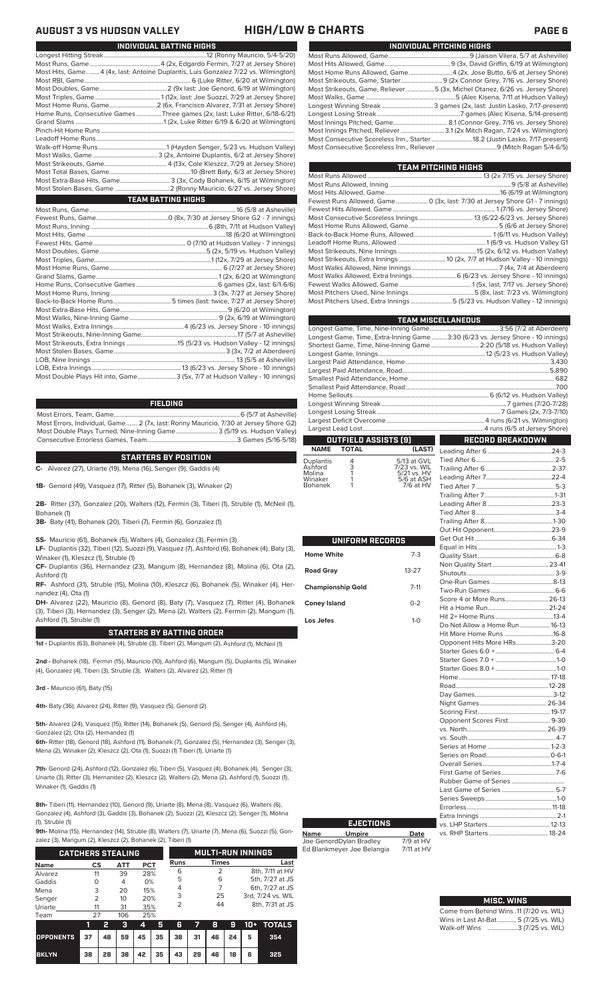### **AUGUST 3 VS HUDSON VALLEY HIGH/LOW & CHARTS PAGE 6**

| Most Hits, Game4 (4x, last: Antoine Duplantis, Luis Gonzalez 7/22 vs. Wilmington) |
|-----------------------------------------------------------------------------------|
|                                                                                   |
|                                                                                   |
|                                                                                   |
|                                                                                   |
| Home Runs, Consecutive Games Three games (2x, last: Luke Ritter, 6/18-6/21)       |
|                                                                                   |
|                                                                                   |
|                                                                                   |
|                                                                                   |
|                                                                                   |
|                                                                                   |
|                                                                                   |
|                                                                                   |
|                                                                                   |
| <b>TEAM BATTING HIGHS</b>                                                         |
|                                                                                   |
|                                                                                   |
|                                                                                   |
|                                                                                   |
|                                                                                   |
|                                                                                   |
|                                                                                   |
|                                                                                   |
| $Crond$ $Come$ $Como$                                                             |

**INDIVIDUAL BATTING HIGHS**

| 0. 0. 100 Juli 100 Juli 100 Juli 100 Juli 100 Juli 100 Juli 100 Juli 100 Juli 100 Juli 100 Juli 100 Juli 100 J |  |
|----------------------------------------------------------------------------------------------------------------|--|
|                                                                                                                |  |
|                                                                                                                |  |
|                                                                                                                |  |
|                                                                                                                |  |
|                                                                                                                |  |
|                                                                                                                |  |
|                                                                                                                |  |
|                                                                                                                |  |
|                                                                                                                |  |
|                                                                                                                |  |
|                                                                                                                |  |
| Most Double Plays Hit into, Game3 (5x, 7/7 at Hudson Valley - 10 innings)                                      |  |

### **FIELDING**

Most Errors, Team, Game...............................................................................6 (5/7 at Asheville) Most Errors, Individual, Game....... 2 (7x, last: Ronny Mauricio, 7/30 at Jersey Shore G2) Most Double Plays Turned, Nine-Inning Game.......................... 3 (5/19 vs. Hudson Valley) Consecutive Errorless Games, Team...

### **STARTERS BY POSITION**

**C-** Alvarez (27), Uriarte (19), Mena (16), Senger (9), Gaddis (4)

**1B-** Genord (49), Vasquez (17), Ritter (5), Bohanek (3), Winaker (2)

**2B-** Ritter (37), Gonzalez (20), Walters (12), Fermin (3), Tiberi (1), Struble (1), McNeil (1), Bohanek (1)

**3B-** Baty (41), Bohanek (20), Tiberi (7), Fermin (6), Gonzalez (1)

**SS-** Mauricio (61), Bohanek (5), Walters (4), Gonzalez (3), Fermin (3)

**LF-** Duplantis (32), Tiberi (12), Suozzi (9), Vasquez (7), Ashford (6), Bohanek (4), Baty (3), Winaker (1), Kleszcz (1), Struble (1)

**CF-** Duplantis (36), Hernandez (23), Mangum (8), Hernandez (8), Molina (6), Ota (2), Ashford (1)

**RF-** Ashford (31), Struble (15), Molina (10), Kleszcz (6), Bohanek (5), Winaker (4), Hernandez (4), Ota (1)

**DH-** Alvarez (22), Mauricio (8), Genord (8), Baty (7), Vasquez (7), Ritter (4), Bohanek (3), Tiberi (3), Hernandez (3), Senger (2), Mena (2), Walters (2), Fermin (2), Mangum (1), Ashford (1), Struble (1)

### **STARTERS BY BATTING ORDER**

**1st -** Duplantis (63), Bohanek (4), Struble (3), Tiberi (2), Mangum (2), Ashford (1), McNeil (1)

**2nd -** Bohanek (18), Fermin (15), Mauricio (10), Ashford (6), Mangum (5), Duplantis (5), Winaker (4), Gonzalez (4), Tiberi (3), Struble (3), Walters (2), Alvarez (2), Ritter (1)

**3rd -** Mauricio (61), Baty (15)

**4th-** Baty (36), Alvarez (24), Ritter (9), Vasquez (5), Genord (2)

**5th-** Alvarez (24), Vasquez (15), Ritter (14), Bohanek (5), Genord (5), Senger (4), Ashford (4), Gonzalez (2), Ota (2), Hernandez (1)

**6th-** Ritter (18), Genord (18), Ashford (11), Bohanek (7), Gonzalez (5), Hernandez (3), Senger (3), Mena (2), Winaker (2), Kleszcz (2), Ota (1), Suozzi (1) Tiberi (1), Uriarte (1)

**7th-** Genord (24), Ashford (12), Gonzalez (6), Tiberi (5), Vasquez (4), Bohanek (4), Senger (3), Uriarte (3), Ritter (3), Hernandez (2), Kleszcz (2), Walters (2), Mena (2), Ashford (1), Suozzi (1), Winaker (1), Gaddis (1)

**8th-** Tiberi (11), Hernandez (10), Genord (9), Uriarte (8), Mena (8), Vasquez (6), Walters (6), Gonzalez (4), Ashford (3), Gaddis (3), Bohanek (2), Suozzi (2), Kleszcz (2), Senger (1), Molina (1), Struble (1)

**9th-** Molina (15), Hernandez (14), Struble (8), Walters (7), Uriarte (7), Mena (6), Suozzi (5), Gon-<br>
artes (2), Margaret (3), Vilagens (3), Pelascol (3), Tiberi (4)

| zalez (3), Mangum (2), Kleszcz (2), Bohanek (2), Tiberi (1) |               |    |     |     |                          |      |    |                |    |                 |                   |
|-------------------------------------------------------------|---------------|----|-----|-----|--------------------------|------|----|----------------|----|-----------------|-------------------|
| <b>CATCHERS STEALING</b>                                    |               |    |     |     | <b>MULTI-RUN INNINGS</b> |      |    |                |    |                 |                   |
| <b>Name</b>                                                 | <b>CS</b>     |    | ATT | PCT |                          | Runs |    | <b>Times</b>   |    |                 | Last              |
| Alvarez                                                     | 11            |    | 39  | 28% |                          | 6    |    | $\overline{2}$ |    |                 | 8th, 7/11 at HV   |
| Gaddis                                                      | O             |    | 4   | 0%  |                          | 5    |    | 6              |    | 5th, 7/27 at JS |                   |
| Mena                                                        | 3             |    | 20  | 15% |                          | 4    |    | 7              |    | 6th, 7/27 at JS |                   |
| Senger                                                      | $\mathcal{P}$ |    | 10  | 20% |                          | 3    |    | 25             |    |                 | 3rd, 7/24 vs. WIL |
| Uriarte                                                     | 11            |    | 31  | 35% |                          | 2    |    | 44             |    |                 | 8th, 7/31 at JS   |
| Team                                                        | 27            |    | 106 | 25% |                          |      |    |                |    |                 |                   |
|                                                             | 1             | 2  | з   | 4   | 5                        | 6    |    | 8              | 9  | $10+$           | <b>TOTALS</b>     |
| <b>OPPONENTS</b>                                            | 37            | 48 | 59  | 45  | 35                       | 38   | 31 | 46             | 24 | 5               | 354               |

**BKLYN 38 28 38 42 35 43 29 46 18 6 325**

| GH/LOW & CHARTS |  |
|-----------------|--|
|-----------------|--|

| INDIVIDUAL PITCHING HIGHS |                                                                             |  |  |  |  |  |  |  |
|---------------------------|-----------------------------------------------------------------------------|--|--|--|--|--|--|--|
|                           |                                                                             |  |  |  |  |  |  |  |
|                           |                                                                             |  |  |  |  |  |  |  |
|                           |                                                                             |  |  |  |  |  |  |  |
|                           |                                                                             |  |  |  |  |  |  |  |
|                           | Most Strikeouts, Game, Reliever5 (3x, Michel Otanez, 6/26 vs. Jersey Shore) |  |  |  |  |  |  |  |
|                           |                                                                             |  |  |  |  |  |  |  |
|                           | Longest Winning Streak  3 games (2x, last: Justin Lasko, 7/17-present)      |  |  |  |  |  |  |  |
|                           |                                                                             |  |  |  |  |  |  |  |
|                           |                                                                             |  |  |  |  |  |  |  |
|                           |                                                                             |  |  |  |  |  |  |  |
|                           | Most Consecutive Scoreless Inn., Starter18.2 (Justin Lasko, 7/17-present)   |  |  |  |  |  |  |  |
|                           |                                                                             |  |  |  |  |  |  |  |

| <b>TEAM PITCHING HIGHS</b>                                                   |  |
|------------------------------------------------------------------------------|--|
|                                                                              |  |
|                                                                              |  |
|                                                                              |  |
| Fewest Runs Allowed, Game  0 (3x, last: 7/30 at Jersey Shore G1 - 7 innings) |  |
|                                                                              |  |
|                                                                              |  |
|                                                                              |  |
|                                                                              |  |
|                                                                              |  |
|                                                                              |  |
|                                                                              |  |
|                                                                              |  |
|                                                                              |  |
|                                                                              |  |
|                                                                              |  |
| Most Pitchers Used, Extra Innings 5 (5/23 vs. Hudson Valley - 12 innings)    |  |

|                   |                                                                                |                           | <b>TEAM MISCELLANEOUS</b>                                            |  |  |  |  |  |
|-------------------|--------------------------------------------------------------------------------|---------------------------|----------------------------------------------------------------------|--|--|--|--|--|
|                   |                                                                                |                           |                                                                      |  |  |  |  |  |
|                   | Longest Game, Time, Extra-Inning Game3:30 (6/23 vs. Jersey Shore - 10 innings) |                           |                                                                      |  |  |  |  |  |
|                   |                                                                                |                           | Shortest Game, Time, Nine-Inning Game  2:20 (5/18 vs. Hudson Valley) |  |  |  |  |  |
|                   |                                                                                |                           |                                                                      |  |  |  |  |  |
|                   |                                                                                |                           |                                                                      |  |  |  |  |  |
|                   |                                                                                |                           |                                                                      |  |  |  |  |  |
|                   |                                                                                |                           |                                                                      |  |  |  |  |  |
|                   |                                                                                |                           |                                                                      |  |  |  |  |  |
|                   |                                                                                |                           |                                                                      |  |  |  |  |  |
|                   |                                                                                |                           |                                                                      |  |  |  |  |  |
|                   |                                                                                |                           |                                                                      |  |  |  |  |  |
|                   |                                                                                |                           |                                                                      |  |  |  |  |  |
|                   |                                                                                |                           |                                                                      |  |  |  |  |  |
|                   | OUTFIELD ASSISTS [9]                                                           |                           | <b>RECORD BREAKDOWN</b>                                              |  |  |  |  |  |
| <b>NAME</b>       | <b>TOTAL</b>                                                                   | (LAST)                    |                                                                      |  |  |  |  |  |
| <b>Duplantis</b>  | 4                                                                              | 5/13 at GVL               |                                                                      |  |  |  |  |  |
| Ashford           | $\frac{3}{1}$                                                                  | 7/23 vs. WIL              |                                                                      |  |  |  |  |  |
| Molina<br>Winaker |                                                                                | 5/21 vs. HV<br>5/6 at ASH |                                                                      |  |  |  |  |  |
| <b>Bohanek</b>    |                                                                                | 7/6 at HV                 |                                                                      |  |  |  |  |  |
|                   |                                                                                |                           |                                                                      |  |  |  |  |  |
|                   |                                                                                |                           |                                                                      |  |  |  |  |  |
|                   |                                                                                |                           |                                                                      |  |  |  |  |  |
|                   |                                                                                |                           |                                                                      |  |  |  |  |  |
|                   |                                                                                |                           |                                                                      |  |  |  |  |  |
|                   |                                                                                |                           |                                                                      |  |  |  |  |  |
|                   | UNIFORM RECORDS                                                                |                           |                                                                      |  |  |  |  |  |

|                          |           | H<br>Ec                                                                                                                           |
|--------------------------|-----------|-----------------------------------------------------------------------------------------------------------------------------------|
| <b>Home White</b>        | $7-3$     | Q                                                                                                                                 |
| <b>Road Gray</b>         | $13 - 27$ | N<br>Sł                                                                                                                           |
| <b>Championship Gold</b> | $7 - 11$  | $\overline{O}$<br>Tv                                                                                                              |
| <b>Coney Island</b>      | $0 - 2$   | So<br>Hi                                                                                                                          |
| Los Jefes                | $1-0$     | Hi<br>D<br>Hi<br>$\circ$<br>St<br>St<br>St<br>H<br>R<br>D<br>Ni<br>So<br>O <sub>l</sub><br>VS<br>VS<br>Se<br>Se<br>Ō<br>Fil<br>RL |
|                          |           | La<br>Se                                                                                                                          |
|                          |           | Er                                                                                                                                |

**Name Umpire Date** Joe GenordDylan Bradley 7/9 at HV Ed Blankmeyer Joe Belangia 7/11 at HV

**EJECTIONS**

| Non Quality Start 23-41       |  |
|-------------------------------|--|
|                               |  |
|                               |  |
|                               |  |
| Score 4 or More Runs 26-13    |  |
|                               |  |
|                               |  |
| Do Not Allow a Home Run 16-13 |  |
| Hit More Home Runs 16-8       |  |
| Opponent Hits More HRs3-20    |  |
|                               |  |
|                               |  |
|                               |  |
|                               |  |
|                               |  |
|                               |  |
|                               |  |
|                               |  |
| Opponent Scores First 9-30    |  |
|                               |  |
|                               |  |
|                               |  |
|                               |  |
|                               |  |
|                               |  |
|                               |  |
| Last Game of Series  5-7      |  |
|                               |  |
|                               |  |
|                               |  |
|                               |  |
|                               |  |
|                               |  |

| <b>MISC. WINS</b>                        |
|------------------------------------------|
| Come from Behind Wins .11 (7/20 vs. WIL) |
| Wins in Last At-Bat 5 (7/25 vs. WIL)     |
| Walk-off Wins 3 (7/25 vs. WIL)           |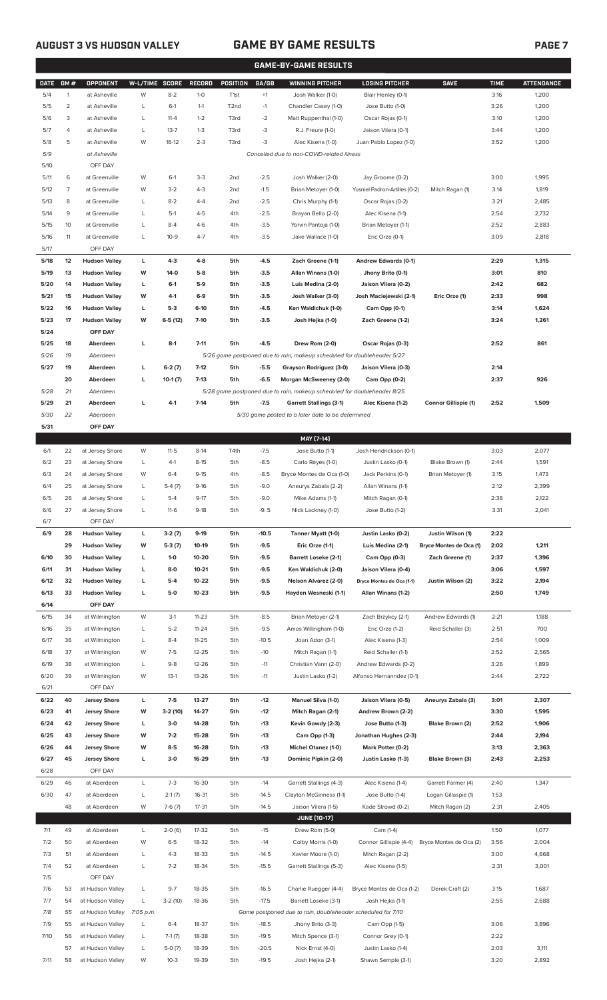$6/7$ 

**6/14 OFF DAY**

 $-$  6/21

 $6/28$ 

# **AUGUST 3 VS HUDSON VALLEY GAME BY GAME RESULTS PAGE 7**

|                                                                                              | <b>GAME-BY-GAME RESULTS</b> |                                |          |                  |                        |                   |                  |                                                                         |                                        |                                         |              |                   |
|----------------------------------------------------------------------------------------------|-----------------------------|--------------------------------|----------|------------------|------------------------|-------------------|------------------|-------------------------------------------------------------------------|----------------------------------------|-----------------------------------------|--------------|-------------------|
| <b>DATE</b>                                                                                  | GM#                         | OPPONENT                       | W-L/TIME | <b>SCORE</b>     | RECORD                 | POSITION          | GA/GB            | <b>WINNING PITCHER</b>                                                  | <b>LOSING PITCHER</b>                  | <b>SAVE</b>                             | <b>TIME</b>  | <b>ATTENDANCE</b> |
| 5/4                                                                                          | $\mathbf{1}$                | at Asheville                   | W        | $8 - 2$          | $1 - 0$                | T1st              | $+1$             | Josh Walker (1-0)                                                       | Blair Henley (0-1)                     |                                         | 3:16         | 1,200             |
| 5/5                                                                                          | 2                           | at Asheville                   | L        | $6-1$            | $1 - 1$                | T <sub>2</sub> nd | $-1$             | Chandler Casey (1-0)                                                    | Jose Butto (1-0)                       |                                         | 3:26         | 1,200             |
| 5/6                                                                                          | 3                           | at Asheville                   | L        | $11 - 4$         | $1 - 2$                | T3rd              | $-2$             | Matt Ruppenthal (1-0)                                                   | Oscar Rojas (0-1)                      |                                         | 3:10         | 1,200             |
| 5/7                                                                                          | 4                           | at Asheville                   | L        | $13 - 7$         | $1 - 3$                | T3rd              | $-3$             | R.J. Freure (1-0)                                                       | Jaison Vilera (0-1)                    |                                         | 3:44         | 1,200             |
| 5/8                                                                                          | 5                           | at Asheville                   | W        | $16-12$          | $2 - 3$                | T3rd              | $-3$             | Alec Kisena (1-0)                                                       | Juan Pablo Lopez (1-0)                 |                                         | 3:52         | 1,200             |
| 5/9                                                                                          |                             | at Asheville                   |          |                  |                        |                   |                  | Cancelled due to non-COVID-related illness                              |                                        |                                         |              |                   |
| 5/10                                                                                         |                             | OFF DAY                        |          |                  |                        |                   |                  |                                                                         |                                        |                                         |              |                   |
| 5/11                                                                                         | 6                           | at Greenville                  | W        | $6-1$            | $3-3$                  | 2 <sub>nd</sub>   | $-2.5$           | Josh Walker (2-0)                                                       | Jay Groome (0-2)                       |                                         | 3:00         | 1,995             |
| 5/12                                                                                         | 7                           | at Greenville                  | W        | $3 - 2$          | $4 - 3$                | 2 <sub>nd</sub>   | $-1.5$           | Brian Metoyer (1-0)                                                     | Yusniel Padron-Artilles (0-2)          | Mitch Ragan (1)                         | 3:14         | 1,819             |
| 5/13                                                                                         | 8                           | at Greenville                  | L        | $8 - 2$          | $4 - 4$                | 2nd               | $-2.5$           | Chris Murphy (1-1)                                                      | Oscar Rojas (0-2)                      |                                         | 3:21         | 2,485             |
| 5/14                                                                                         | 9<br>10                     | at Greenville                  | L<br>L   | $5-1$<br>$8 - 4$ | $4 - 5$<br>$4-6$       | 4th<br>4th        | $-2.5$<br>$-3.5$ | Brayan Bello (2-0)                                                      | Alec Kisena (1-1)                      |                                         | 2:54<br>2:52 | 2,732             |
| 5/15<br>5/16                                                                                 | 11                          | at Greenville<br>at Greenville | L        | $10-9$           | $4 - 7$                | 4th               | $-3.5$           | Yorvin Pantoja (1-0)<br>Jake Wallace (1-0)                              | Brian Metoyer (1-1)<br>Eric Orze (0-1) |                                         | 3:09         | 2,883<br>2,818    |
| 5/17                                                                                         |                             | OFF DAY                        |          |                  |                        |                   |                  |                                                                         |                                        |                                         |              |                   |
| 5/18                                                                                         | 12                          | <b>Hudson Valley</b>           | L        | $4-3$            | $4 - 8$                | 5th               | $-4.5$           | Zach Greene (1-1)                                                       | Andrew Edwards (0-1)                   |                                         | 2:29         | 1,315             |
| 5/19                                                                                         | 13                          | <b>Hudson Valley</b>           | W        | 14-0             | $5-8$                  | 5th               | $-3.5$           | Allan Winans (1-0)                                                      | Jhony Brito (0-1)                      |                                         | 3:01         | 810               |
| 5/20                                                                                         | 14                          | <b>Hudson Valley</b>           | L        | $6-1$            | $5-9$                  | 5th               | $-3.5$           | Luis Medina (2-0)                                                       | Jaison Vilera (0-2)                    |                                         | 2:42         | 682               |
| 5/21                                                                                         | 15                          | <b>Hudson Valley</b>           | W        | $4-1$            | $6-9$                  | 5th               | $-3.5$           | Josh Walker (3-0)                                                       | Josh Maciejewski (2-1)                 | Eric Orze (1)                           | 2:33         | 998               |
| 5/22                                                                                         | 16                          | <b>Hudson Valley</b>           | L        | $5-3$            | $6-10$                 | 5th               | $-4.5$           | Ken Waldichuk (1-0)                                                     | Cam Opp (0-1)                          |                                         | 3:14         | 1,624             |
| 5/23                                                                                         | 17                          | <b>Hudson Valley</b>           | W        | $6-5(12)$        | $7 - 10$               | 5th               | $-3.5$           | Josh Hejka (1-0)                                                        | Zach Greene (1-2)                      |                                         | 3:24         | 1,261             |
| 5/24                                                                                         |                             | OFF DAY                        |          |                  |                        |                   |                  |                                                                         |                                        |                                         |              |                   |
| 5/25                                                                                         | 18                          | Aberdeen                       | Г        | $8-1$            | $7 - 11$               | 5th               | $-4.5$           | Drew Rom (2-0)                                                          | Oscar Rojas (0-3)                      |                                         | 2:52         | 861               |
| 5/26                                                                                         | 19                          | Aberdeen                       |          |                  |                        |                   |                  | 5/26 game postponed due to rain, makeup scheduled for doubleheader 5/27 |                                        |                                         |              |                   |
| 5/27                                                                                         | 19                          | Aberdeen                       | г        | $6-2(7)$         | $7-12$                 | 5th               | $-5.5$           | Grayson Rodriguez (3-0)                                                 | Jaison Vilera (0-3)                    |                                         | 2:14         |                   |
|                                                                                              | 20                          | Aberdeen                       | г        | $10-1(7)$        | $7-13$                 | 5th               | $-6.5$           | Morgan McSweeney (2-0)                                                  | Cam Opp (0-2)                          |                                         | 2:37         | 926               |
| 5/28                                                                                         | 21                          | Aberdeen                       |          |                  |                        |                   |                  | 5/28 game postponed due to rain, makeup scheduled for doubleheader 8/25 |                                        |                                         |              |                   |
| 5/29                                                                                         | 21                          | Aberdeen                       | L        | $4-1$            | $7 - 14$               | 5th               | $-7.5$           | <b>Garrett Stallings (3-1)</b>                                          | Alec Kisena (1-2)                      | Connor Gillispie (1)                    | 2:52         | 1,509             |
| 5/30                                                                                         | 22                          | Aberdeen                       |          |                  |                        |                   |                  | 5/30 game posted to a later date to be determined                       |                                        |                                         |              |                   |
| 5/31                                                                                         |                             | OFF DAY                        |          |                  |                        |                   |                  | MAY [7-14]                                                              |                                        |                                         |              |                   |
| 6/1                                                                                          | 22                          | at Jersey Shore                | W        | $11 - 5$         | $8-14$                 | T4th              | $-7.5$           | Jose Butto (1-1)                                                        | Josh Hendrickson (0-1)                 |                                         | 3:03         | 2,077             |
| 6/2                                                                                          | 23                          |                                |          |                  |                        |                   |                  |                                                                         |                                        |                                         |              |                   |
|                                                                                              |                             | at Jersey Shore                | L        | 4-1              | $8 - 15$               | 5th               | $-8.5$           | Carlo Reyes (1-0)                                                       | Justin Lasko (0-1)                     | Blake Brown (1)                         | 2:44         | 1,591             |
| 6/3                                                                                          | 24                          | at Jersey Shore                | W        | $6 - 4$          | $9-15$                 | 4th               | $-8.5$           | Bryce Montes de Oca (1-0)                                               | Jack Perkins (0-1)                     | Brian Metoyer (1)                       | 3:15         | 1,473             |
| 6/4                                                                                          | 25                          | at Jersey Shore                | L        | $5-4(7)$         | $9-16$                 | 5th               | $-9.0$           | Aneurys Zabala (2-2)                                                    | Allan Winans (1-1)                     |                                         | 2:12         | 2,399             |
| 6/5                                                                                          | 26                          | at Jersey Shore                | L        | $5 - 4$          | $9-17$                 | 5th               | $-9.0$           | Mike Adams (1-1)                                                        | Mitch Ragan (0-1)                      |                                         | 2:36         | 2,122             |
| 6/6                                                                                          | 27                          | at Jersey Shore                | L        | $11-6$           | $9-18$                 | 5th               | $-9.5$           | Nick Lackney (1-0)                                                      | Jose Butto (1-2)                       |                                         | 3:31         | 2,041             |
| 6/7                                                                                          |                             | OFF DAY                        |          |                  |                        |                   |                  |                                                                         |                                        |                                         |              |                   |
| 6/9                                                                                          | 28                          | <b>Hudson Valley</b>           | L        | $3-2(7)$         | $9-19$                 | 5th               | $-10.5$          | Tanner Myatt (1-0)                                                      | Justin Lasko (0-2)                     | Justin Wilson (1)                       | 2:22         |                   |
|                                                                                              | 29                          | <b>Hudson Valley</b>           | W        | $5-3(7)$         | 10-19                  | 5th               | $-9.5$           | Eric Orze (1-1)                                                         | Luis Medina (2-1)                      | Bryce Montes de Oca (1)                 | 2:02         | 1,211             |
|                                                                                              | 30                          | <b>Hudson Valley</b>           | L        | $1 - 0$          | 10-20                  | 5th               | $-9.5$           | <b>Barrett Loseke (2-1)</b>                                             | Cam Opp (0-3)                          | Zach Greene (1)                         | 2:37         | 1,396             |
| 6/11                                                                                         | 31                          | <b>Hudson Valley</b>           | Г        | 8-0              | $10 - 21$              | 5th               | $-9.5$           | Ken Waldichuk (2-0)                                                     | Jaison Vilera (0-4)                    |                                         | 3:06         | 1,597             |
|                                                                                              | 32                          | <b>Hudson Valley</b>           | Г        | $5-4$            | 10-22                  | 5th               | -9.5             | Nelson Alvarez (2-0)                                                    | Bryce Montes de Oca (1-1)              | Justin Wilson (2)                       | 3:22         | 2,194             |
|                                                                                              | 33                          | <b>Hudson Valley</b>           | г        | $5-0$            | $10 - 23$              | 5th               | $-9.5$           | Hayden Wesneski (1-1)                                                   | Allan Winans (1-2)                     |                                         | 2:50         | 1,749             |
|                                                                                              |                             | OFF DAY                        |          |                  |                        |                   |                  |                                                                         |                                        |                                         |              |                   |
| 6/15<br>6/16                                                                                 | 34<br>35                    | at Wilmington                  | W<br>L   | $3-1$<br>$5 - 2$ | $11 - 23$<br>$11 - 24$ | 5th<br>5th        | $-8.5$<br>$-9.5$ | Brian Metoyer (2-1)<br>Amos Willingham (1-0)                            | Zach Brzykcy (2-1)<br>Eric Orze (1-2)  | Andrew Edwards (1)<br>Reid Schaller (3) | 2:21<br>2:51 | 1,188<br>700      |
| 6/17                                                                                         | 36                          | at Wilmington<br>at Wilmington | L        | $8 - 4$          | $11 - 25$              | 5th               | $-10.5$          | Joan Adon (3-1)                                                         | Alec Kisena (1-3)                      |                                         | 2:54         | 1,009             |
| 6/18                                                                                         | 37                          | at Wilmington                  | W        | $7-5$            | $12 - 25$              | 5th               | $-10$            | Mitch Ragan (1-1)                                                       | Reid Schaller (1-1)                    |                                         | 2:52         | 2,565             |
| 6/19                                                                                         | 38                          | at Wilmington                  | L        | $9 - 8$          | 12-26                  | 5th               | $-11$            | Christian Vann (2-0)                                                    | Andrew Edwards (0-2)                   |                                         | 3:26         | 1,899             |
|                                                                                              | 39                          | at Wilmington                  | W        | $13-1$           | 13-26                  | 5th               | $-11$            | Justin Lasko (1-2)                                                      | Alfonso Hernanndez (0-1)               |                                         | 2:44         | 2,722             |
| 6/21                                                                                         |                             | OFF DAY                        |          |                  |                        |                   |                  |                                                                         |                                        |                                         |              |                   |
|                                                                                              | 40                          | <b>Jersey Shore</b>            | L        | $7 - 5$          | 13-27                  | 5th               | $-12$            | Manuel Silva (1-0)                                                      | Jaison Vilera (0-5)                    | Aneurys Zabala (3)                      | 3:01         | 2,307             |
|                                                                                              | 41                          | <b>Jersey Shore</b>            | W        | 3-2 (10)         | 14-27                  | 5th               | $-12$            | Mitch Ragan (2-1)                                                       | Andrew Brown (2-2)                     |                                         | 3:30         | 1,595             |
|                                                                                              | 42                          | <b>Jersey Shore</b>            | L        | $3-0$            | 14-28                  | 5th               | $-13$            | Kevin Gowdy (2-3)                                                       | Jose Butto (1-3)                       | Blake Brown (2)                         | 2:52         | 1,906             |
|                                                                                              | 43                          | <b>Jersey Shore</b>            | W        | $7-2$            | 15-28                  | 5th               | $-13$            | Cam Opp (1-3)                                                           | Jonathan Hughes (2-3)                  |                                         | 2:44         | 2,194             |
|                                                                                              | 44                          | <b>Jersey Shore</b>            | W        | $8-5$            | 16-28                  | 5th               | $-13$            | <b>Michel Otanez (1-0)</b>                                              | Mark Potter (0-2)                      |                                         | 3:13         | 2,363             |
|                                                                                              | 45                          | <b>Jersey Shore</b>            | L        | $3-0$            | 16-29                  | 5th               | $-13$            | Dominic Pipkin (2-0)                                                    | Justin Lasko (1-3)                     | Blake Brown (3)                         | 2:43         | 2,253             |
| 6/10<br>6/12<br>6/13<br>6/14<br>6/20<br>6/22<br>6/23<br>6/24<br>6/25<br>6/26<br>6/27<br>6/28 |                             | OFF DAY                        |          |                  |                        |                   |                  |                                                                         |                                        |                                         |              |                   |
| 6/29                                                                                         | 46                          | at Aberdeen                    | L        | $7 - 3$          | 16-30                  | 5th               | $-14$            | Garrett Stallings (4-3)                                                 | Alec Kisena (1-4)                      | Garrett Farmer (4)                      | 2:40         | 1,347             |
| 6/30                                                                                         | 47                          | at Aberdeen                    | L        | $2-1(7)$         | 16-31                  | 5th               | $-14.5$          | Clayton McGinness (1-1)                                                 | Jose Butto (1-4)                       | Logan Gillaspie (1)                     | 1:53         |                   |

|      |    |                  |           |           |         |     |         | <b>JUNE [10-17]</b>                                         |                           |                         |      |       |
|------|----|------------------|-----------|-----------|---------|-----|---------|-------------------------------------------------------------|---------------------------|-------------------------|------|-------|
| 7/1  | 49 | at Aberdeen      | L.        | $2-0(6)$  | $17-32$ | 5th | $-15$   | Drew Rom (5-0)                                              | Cam (1-4)                 |                         | 1:50 | 1,077 |
| 7/2  | 50 | at Aberdeen      | W         | $6 - 5$   | 18-32   | 5th | $-14$   | Colby Morris (1-0)                                          | Connor Gillispie (4-4)    | Bryce Montes de Oca (2) | 3:56 | 2,004 |
| 7/3  | 51 | at Aberdeen      |           | $4 - 3$   | 18-33   | 5th | $-14.5$ | Xavier Moore (1-0)                                          | Mitch Ragan (2-2)         |                         | 3:00 | 4,668 |
| 7/4  | 52 | at Aberdeen      |           | $7 - 2$   | 18-34   | 5th | $-15.5$ | Garrett Stallings (5-3)                                     | Alec Kisena (1-5)         |                         | 2:31 | 3,001 |
| 7/5  |    | OFF DAY          |           |           |         |     |         |                                                             |                           |                         |      |       |
| 7/6  | 53 | at Hudson Valley |           | $9 - 7$   | 18-35   | 5th | $-16.5$ | Charlie Ruegger (4-4)                                       | Bryce Montes de Oca (1-2) | Derek Craft (2)         | 3:15 | 1,687 |
| 7/7  | 54 | at Hudson Valley |           | $3-2(10)$ | 18-36   | 5th | $-17.5$ | Barrett Loseke (3-1)                                        | Josh Hejka (1-1)          |                         | 2:55 | 2,688 |
| 7/8  | 55 | at Hudson Valley | 7:05 p.m. |           |         |     |         | Game postponed due to rain, doubleheader scheduled for 7/10 |                           |                         |      |       |
| 7/9  | 55 | at Hudson Valley | L         | $6 - 4$   | 18-37   | 5th | $-18.5$ | Jhony Brito (3-3)                                           | Cam Opp (1-5)             |                         | 3:06 | 3,896 |
| 7/10 | 56 | at Hudson Valley | L         | $7-1(7)$  | 18-38   | 5th | $-19.5$ | Mitch Spence (3-1)                                          | Connor Grey (0-1)         |                         | 2:22 |       |
|      | 57 | at Hudson Valley | L         | $5-0(7)$  | 18-39   | 5th | $-20.5$ | Nick Ernst (4-0)                                            | Justin Lasko (1-4)        |                         | 2:03 | 3,111 |
| 7/11 | 58 | at Hudson Valley | W         | $10-3$    | 19-39   | 5th | $-19.5$ | Josh Hejka (2-1)                                            | Shawn Semple (3-1)        |                         | 3:20 | 2,892 |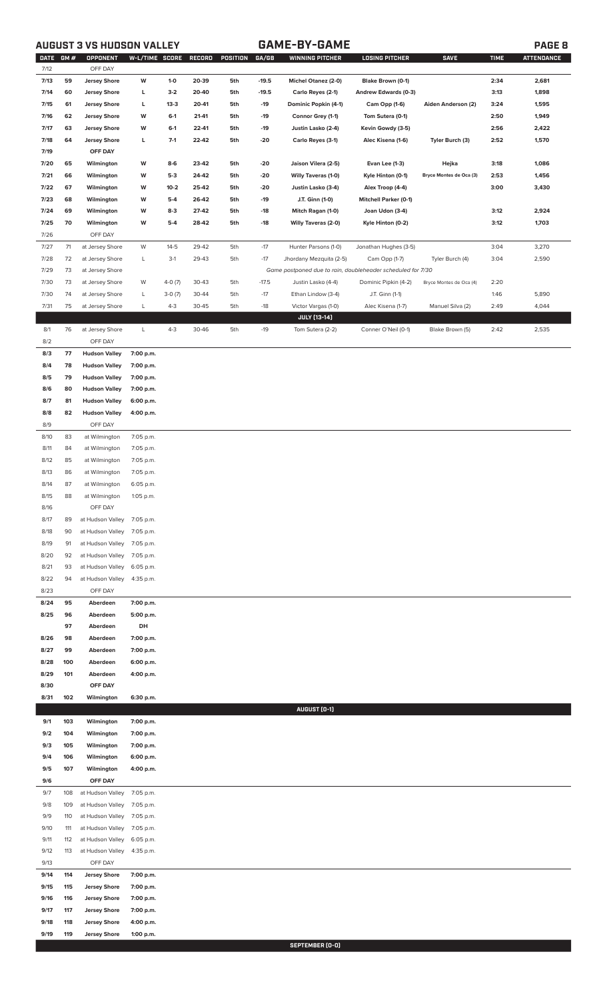# **AUGUST 3 VS HUDSON VALLEY GAME-BY-GAME PAGE 8**

| <b>DATE</b><br>7/12 | GM#        | OPPONENT<br>OFF DAY                        | W-L/TIME SCORE         |                | RECORD         | POSITION   | GA/GB          | <b>WINNING PITCHER</b>                                      | <b>LOSING PITCHER</b>                | <b>SAVE</b>             | <b>TIME</b>  | <b>ATTENDANCE</b> |
|---------------------|------------|--------------------------------------------|------------------------|----------------|----------------|------------|----------------|-------------------------------------------------------------|--------------------------------------|-------------------------|--------------|-------------------|
| 7/13                | 59         | <b>Jersey Shore</b>                        | W                      | $1-0$          | 20-39          | 5th        | $-19.5$        | <b>Michel Otanez (2-0)</b>                                  | Blake Brown (0-1)                    |                         | 2:34         | 2,681             |
| 7/14                | 60         | <b>Jersey Shore</b>                        | г                      | $3-2$          | 20-40          | 5th        | $-19.5$        | Carlo Reyes (2-1)                                           | Andrew Edwards (0-3)                 |                         | 3:13         | 1,898             |
| 7/15                | 61         | <b>Jersey Shore</b>                        | L                      | $13-3$         | 20-41          | 5th        | $-19$          | Dominic Popkin (4-1)                                        | Cam Opp (1-6)                        | Aiden Anderson (2)      | 3:24         | 1,595             |
| 7/16                | 62         | <b>Jersey Shore</b>                        | W                      | $6-1$          | 21-41          | 5th        | $-19$          | Connor Grey (1-1)                                           | Tom Sutera (0-1)                     |                         | 2:50         | 1,949             |
| 7/17                | 63         | <b>Jersey Shore</b>                        | W                      | $6-1$          | 22-41          | 5th        | $-19$          | Justin Lasko (2-4)                                          | Kevin Gowdy (3-5)                    |                         | 2:56         | 2,422             |
| 7/18                | 64         | <b>Jersey Shore</b>                        | г                      | $7-1$          | 22-42          | 5th        | $-20$          | Carlo Reyes (3-1)                                           | Alec Kisena (1-6)                    | Tyler Burch (3)         | 2:52         | 1,570             |
| 7/19                |            | OFF DAY                                    |                        |                |                |            |                |                                                             |                                      |                         |              |                   |
| 7/20                | 65         | Wilmington                                 | W                      | $8-6$          | 23-42          | 5th        | -20            | Jaison Vilera (2-5)                                         | Evan Lee (1-3)                       | Hejka                   | 3:18         | 1,086             |
| 7/21                | 66         | Wilmington                                 | W                      | $5-3$          | 24-42          | 5th        | -20            | <b>Willy Taveras (1-0)</b>                                  | Kyle Hinton (0-1)                    | Bryce Montes de Oca (3) | 2:53         | 1,456             |
| 7/22                | 67         | Wilmington                                 | W                      | $10-2$         | 25-42          | 5th        | -20            | Justin Lasko (3-4)                                          | Alex Troop (4-4)                     |                         | 3:00         | 3,430             |
| 7/23                | 68<br>69   | Wilmington                                 | W<br>W                 | $5-4$<br>$8-3$ | 26-42<br>27-42 | 5th<br>5th | $-19$          | J.T. Ginn (1-0)                                             | <b>Mitchell Parker (0-1)</b>         |                         |              |                   |
| 7/24<br>7/25        | 70         | Wilmington<br>Wilmington                   | W                      | $5-4$          | 28-42          | 5th        | $-18$<br>$-18$ | Mitch Ragan (1-0)<br><b>Willy Taveras (2-0)</b>             | Joan Udon (3-4)<br>Kyle Hinton (0-2) |                         | 3:12<br>3:12 | 2,924<br>1,703    |
| 7/26                |            | OFF DAY                                    |                        |                |                |            |                |                                                             |                                      |                         |              |                   |
| 7/27                | 71         | at Jersey Shore                            | W                      | $14 - 5$       | 29-42          | 5th        | $-17$          | Hunter Parsons (1-0)                                        | Jonathan Hughes (3-5)                |                         | 3:04         | 3,270             |
| 7/28                | 72         | at Jersey Shore                            | L                      | $3-1$          | 29-43          | 5th        | $-17$          | Jhordany Mezquita (2-5)                                     | Cam Opp (1-7)                        | Tyler Burch (4)         | 3:04         | 2,590             |
| 7/29                | 73         | at Jersey Shore                            |                        |                |                |            |                | Game postponed due to rain, doubleheader scheduled for 7/30 |                                      |                         |              |                   |
| 7/30                | 73         | at Jersey Shore                            | W                      | $4-0(7)$       | 30-43          | 5th        | $-17.5$        | Justin Lasko (4-4)                                          | Dominic Pipkin (4-2)                 | Bryce Montes de Oca (4) | 2:20         |                   |
| 7/30                | 74         | at Jersey Shore                            | L                      | $3-0(7)$       | 30-44          | 5th        | $-17$          | Ethan Lindow (3-4)                                          | J.T. Ginn (1-1)                      |                         | 1:46         | 5,890             |
| 7/31                | 75         | at Jersey Shore                            | L                      | $4 - 3$        | 30-45          | 5th        | $-18$          | Victor Vargas (1-0)                                         | Alec Kisena (1-7)                    | Manuel Silva (2)        | 2:49         | 4,044             |
| 8/1                 | 76         |                                            | L                      | $4 - 3$        | 30-46          |            | $-19$          | <b>JULY [13-14]</b>                                         |                                      |                         | 2:42         | 2,535             |
| 8/2                 |            | at Jersey Shore<br>OFF DAY                 |                        |                |                | 5th        |                | Tom Sutera (2-2)                                            | Conner O'Neil (0-1)                  | Blake Brown (5)         |              |                   |
| 8/3                 | 77         | <b>Hudson Valley</b>                       | 7:00 p.m.              |                |                |            |                |                                                             |                                      |                         |              |                   |
| 8/4                 | 78         | <b>Hudson Valley</b>                       | 7:00 p.m.              |                |                |            |                |                                                             |                                      |                         |              |                   |
| 8/5                 | 79         | <b>Hudson Valley</b>                       | 7:00 p.m.              |                |                |            |                |                                                             |                                      |                         |              |                   |
| 8/6                 | 80         | <b>Hudson Valley</b>                       | 7:00 p.m.              |                |                |            |                |                                                             |                                      |                         |              |                   |
| 8/7                 | 81         | <b>Hudson Valley</b>                       | 6:00 p.m.              |                |                |            |                |                                                             |                                      |                         |              |                   |
| 8/8<br>8/9          | 82         | <b>Hudson Valley</b><br>OFF DAY            | 4:00 p.m.              |                |                |            |                |                                                             |                                      |                         |              |                   |
| 8/10                | 83         | at Wilmington                              | 7:05 p.m.              |                |                |            |                |                                                             |                                      |                         |              |                   |
| 8/11                | 84         | at Wilmington                              | 7:05 p.m.              |                |                |            |                |                                                             |                                      |                         |              |                   |
| 8/12                | 85         | at Wilmington                              | 7:05 p.m.              |                |                |            |                |                                                             |                                      |                         |              |                   |
| 8/13                | 86         | at Wilmington                              | 7:05 p.m.              |                |                |            |                |                                                             |                                      |                         |              |                   |
| 8/14                | 87         | at Wilmington                              | 6:05 p.m.              |                |                |            |                |                                                             |                                      |                         |              |                   |
| 8/15                | 88         | at Wilmington                              | 1:05 p.m.              |                |                |            |                |                                                             |                                      |                         |              |                   |
| 8/16<br>8/17        | 89         | OFF DAY<br>at Hudson Valley                | 7:05 p.m.              |                |                |            |                |                                                             |                                      |                         |              |                   |
| 8/18                | 90         | at Hudson Valley                           | 7:05 p.m.              |                |                |            |                |                                                             |                                      |                         |              |                   |
| 8/19                | 91         | at Hudson Valley                           | 7:05 p.m.              |                |                |            |                |                                                             |                                      |                         |              |                   |
| 8/20                | 92         | at Hudson Valley                           | 7:05 p.m.              |                |                |            |                |                                                             |                                      |                         |              |                   |
| 8/21                | 93         | at Hudson Valley                           | 6:05 p.m.              |                |                |            |                |                                                             |                                      |                         |              |                   |
| 8/22                | 94         | at Hudson Valley                           | 4:35 p.m.              |                |                |            |                |                                                             |                                      |                         |              |                   |
| 8/23                |            | OFF DAY                                    |                        |                |                |            |                |                                                             |                                      |                         |              |                   |
| 8/24<br>8/25        | 95<br>96   | Aberdeen<br>Aberdeen                       | 7:00 p.m.<br>5:00 p.m. |                |                |            |                |                                                             |                                      |                         |              |                   |
|                     | 97         | Aberdeen                                   | DH                     |                |                |            |                |                                                             |                                      |                         |              |                   |
| 8/26                | 98         | Aberdeen                                   | 7:00 p.m.              |                |                |            |                |                                                             |                                      |                         |              |                   |
| 8/27                | 99         | Aberdeen                                   | 7:00 p.m.              |                |                |            |                |                                                             |                                      |                         |              |                   |
| 8/28                | 100        | Aberdeen                                   | 6:00 p.m.              |                |                |            |                |                                                             |                                      |                         |              |                   |
| 8/29                | 101        | Aberdeen                                   | 4:00 p.m.              |                |                |            |                |                                                             |                                      |                         |              |                   |
| 8/30                |            | OFF DAY                                    |                        |                |                |            |                |                                                             |                                      |                         |              |                   |
| 8/31                | 102        | Wilmington                                 | 6:30 p.m.              |                |                |            |                | AUGUST (0-1)                                                |                                      |                         |              |                   |
| 9/1                 | 103        | Wilmington                                 | 7:00 p.m.              |                |                |            |                |                                                             |                                      |                         |              |                   |
| 9/2                 | 104        | Wilmington                                 | 7:00 p.m.              |                |                |            |                |                                                             |                                      |                         |              |                   |
| 9/3                 | 105        | Wilmington                                 | 7:00 p.m.              |                |                |            |                |                                                             |                                      |                         |              |                   |
| 9/4                 | 106        | Wilmington                                 | 6:00 p.m.              |                |                |            |                |                                                             |                                      |                         |              |                   |
| 9/5                 | 107        | Wilmington                                 | 4:00 p.m.              |                |                |            |                |                                                             |                                      |                         |              |                   |
| 9/6                 |            | OFF DAY                                    |                        |                |                |            |                |                                                             |                                      |                         |              |                   |
| 9/7<br>9/8          | 108<br>109 | at Hudson Valley<br>at Hudson Valley       | 7:05 p.m.<br>7:05 p.m. |                |                |            |                |                                                             |                                      |                         |              |                   |
| 9/9                 | 110        | at Hudson Valley                           | 7:05 p.m.              |                |                |            |                |                                                             |                                      |                         |              |                   |
| 9/10                | 111        | at Hudson Valley                           | 7:05 p.m.              |                |                |            |                |                                                             |                                      |                         |              |                   |
| 9/11                | 112        | at Hudson Valley                           | 6:05 p.m.              |                |                |            |                |                                                             |                                      |                         |              |                   |
| 9/12                | 113        | at Hudson Valley                           | 4:35 p.m.              |                |                |            |                |                                                             |                                      |                         |              |                   |
| 9/13                |            | OFF DAY                                    |                        |                |                |            |                |                                                             |                                      |                         |              |                   |
| 9/14                | 114        | <b>Jersey Shore</b>                        | 7:00 p.m.              |                |                |            |                |                                                             |                                      |                         |              |                   |
| 9/15<br>9/16        | 115<br>116 | <b>Jersey Shore</b><br><b>Jersey Shore</b> | 7:00 p.m.<br>7:00 p.m. |                |                |            |                |                                                             |                                      |                         |              |                   |
| 9/17                | 117        | <b>Jersey Shore</b>                        | 7:00 p.m.              |                |                |            |                |                                                             |                                      |                         |              |                   |
| 9/18                | 118        | <b>Jersey Shore</b>                        | 4:00 p.m.              |                |                |            |                |                                                             |                                      |                         |              |                   |
| 9/19                | 119        | <b>Jersey Shore</b>                        | 1:00 p.m.              |                |                |            |                |                                                             |                                      |                         |              |                   |
|                     |            |                                            |                        |                |                |            |                | SEPTEMBER (N-N)                                             |                                      |                         |              |                   |